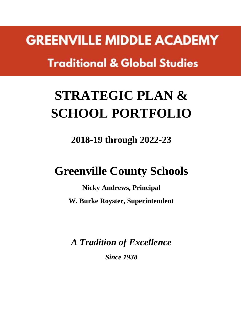**GREENVILLE MIDDLE ACADEMY Traditional & Global Studies** 

# **STRATEGIC PLAN & SCHOOL PORTFOLIO**

**2018-19 through 2022-23**

# **Greenville County Schools**

**Nicky Andrews, Principal W. Burke Royster, Superintendent**

*A Tradition of Excellence Since 1938*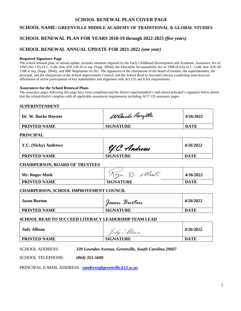#### **SCHOOL RENEWAL PLAN COVER PAGE**

#### **SCHOOL NAME: GREENVILLE MIDDLE ACADEMY OF TRADITIONAL & GLOBAL STUDIES**

#### **SCHOOL RENEWAL PLAN FOR YEARS 2018-19 through 2022-2023** *(five years)*

#### **SCHOOL RENEWAL ANNUAL UPDATE FOR 2021-2022** *(one year)*

#### **Required Signature Page**

The school renewal plan, or annual update, includes elements required by the Early Childhood Development and Academic Assistance Act of 1993 (Act 135) (S.C. Code Ann. §59-139-10 *et seq.* (Supp. 2004)), the Education Accountability Act of 1998 (EAA) (S.C. Code Ann. §59-18- 1300 *et seq.* (Supp. 2004)), and SBE Regulation 43-261. The signatures of the chairperson of the board of trustees, the superintendent, the principal, and the chairperson of the School Improvement Council, and the School Read to Succeed Literacy Leadership team lead are affirmation of active participation of key stakeholders and alignment with Act 135 and EAA requirements.

#### **Assurances for the School Renewal Plans**

The assurance pages following this page have been completed and the district superintendent's and school principal's signature below attests that the school/district complies with all applicable assurances requirements including ACT 135 assurance pages.

| <b>SUPERINTENDENT</b>                                   |                                                                          |             |
|---------------------------------------------------------|--------------------------------------------------------------------------|-------------|
| Dr. W. Burke Royster                                    | Wante Roystr                                                             | 4/26/2022   |
| <b>PRINTED NAME</b>                                     | <b>SIGNATURE</b>                                                         | <b>DATE</b> |
| <b>PRINCIPAL</b>                                        |                                                                          |             |
| Y.C. (Nicky) Andrews                                    | Y.C. Andrews                                                             | 4/26/2022   |
| <b>PRINTED NAME</b>                                     | <b>SIGNATURE</b>                                                         | <b>DATE</b> |
| <b>CHAIRPERSON, BOARD OF TRUSTEES</b>                   |                                                                          |             |
| Mr. Roger Meek                                          | Kogu D. Meet                                                             | 4/26/2022   |
| <b>PRINTED NAME</b>                                     | <b>SIGNATURE</b>                                                         | <b>DATE</b> |
| <b>CHAIRPERSON, SCHOOL IMPROVEMENT COUNCIL</b>          |                                                                          |             |
| <b>Jason Burton</b>                                     | Jason Burton                                                             | 4/26/2022   |
| <b>PRINTED NAME</b>                                     | <b>SIGNATURE</b>                                                         | <b>DATE</b> |
|                                                         | SCHOOL READ TO SUCCEED LITERACY LEADERSHIP TEAM LEAD                     |             |
| <b>Jody Allison</b>                                     | Jody Allison                                                             | 4/26/2022   |
| <b>PRINTED NAME</b>                                     | <b>SIGNATURE</b>                                                         | <b>DATE</b> |
| <b>SCHOOL ADDRESS:</b><br><b>SCHOOL TELEPHONE:</b>      | 339 Lowndes Avenue, Greenville, South Carolina 29607<br>$(864)$ 355-5600 |             |
| PRINCIPAL E-MAIL ADDRESS: yandrews@greenville.k12.sc.us |                                                                          |             |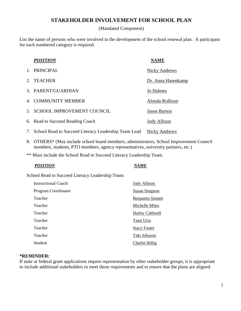#### **STAKEHOLDER INVOLVEMENT FOR SCHOOL PLAN**

(Mandated Component)

List the name of persons who were involved in the development of the school renewal plan. A participant for each numbered category is required.

|                | <b>POSITION</b>                                         | NAME                |
|----------------|---------------------------------------------------------|---------------------|
|                | <b>PRINCIPAL</b>                                        | Nicky Andrews       |
| $2^{\circ}$    | <b>TEACHER</b>                                          | Dr. Anna Hasenkamp  |
|                | 3. PARENT/GUARDIAN                                      | Jo Halmes           |
|                | 4. COMMUNITY MEMBER                                     | Alonda Rollison     |
| 5 <sup>7</sup> | <b>SCHOOL IMPROVEMENT COUNCIL</b>                       | <b>Jason Burton</b> |
|                | 6. Read to Succeed Reading Coach                        | <b>Jody Allison</b> |
|                | 7. School Read to Succeed Literacy Leadership Team Lead | Nicky Andrews       |

- 8. OTHERS\* (May include school board members, administrators, School Improvement Council members, students, PTO members, agency representatives, university partners, etc.)
- \*\* Must include the School Read to Succeed Literacy Leadership Team.

#### *POSITION NAME*

School Read to Succeed Literacy Leadership Team:

| Instructional Coach | Jody Allison            |
|---------------------|-------------------------|
| Program Coordinator | Susan Simpson           |
| Teacher             | <b>Benjamin Sinnett</b> |
| Teacher             | Michelle Miles          |
| Teacher             | Hailey Caldwell         |
| Teacher             | Tami Uria               |
| Teacher             | <b>Stacy Foster</b>     |
| Teacher             | Taki Johnson            |
| Student             | Charlie Billig          |

#### **\*REMINDER:**

If state or federal grant applications require representation by other stakeholder groups, it is appropriate to include additional stakeholders to meet those requirements and to ensure that the plans are aligned.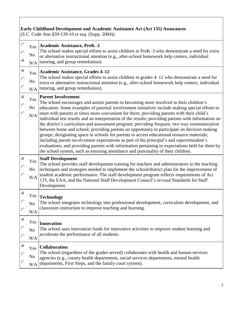#### **Early Childhood Development and Academic Assistance Act (Act 135) Assurances**

(S.C. Code Ann §59-139-10 *et seq.* (Supp. 2004))

| $\odot$                  | Yes<br>No<br>N/A             | Academic Assistance, PreK-3<br>The school makes special efforts to assist children in PreK–3 who demonstrate a need for extra<br>or alternative instructional attention (e.g., after-school homework help centers, individual<br>tutoring, and group remediation).                                                                                                                                                                                                                                                                                                                                                                                                                                                                                                                                                                                                                                                                                                                                          |
|--------------------------|------------------------------|-------------------------------------------------------------------------------------------------------------------------------------------------------------------------------------------------------------------------------------------------------------------------------------------------------------------------------------------------------------------------------------------------------------------------------------------------------------------------------------------------------------------------------------------------------------------------------------------------------------------------------------------------------------------------------------------------------------------------------------------------------------------------------------------------------------------------------------------------------------------------------------------------------------------------------------------------------------------------------------------------------------|
| $\odot$<br>O             | Yes<br>N <sub>o</sub><br>N/A | <b>Academic Assistance, Grades 4–12</b><br>The school makes special efforts to assist children in grades 4–12 who demonstrate a need for<br>extra or alternative instructional attention (e.g., after-school homework help centers, individual<br>tutoring, and group remediation).                                                                                                                                                                                                                                                                                                                                                                                                                                                                                                                                                                                                                                                                                                                         |
| $\widehat{\bullet}$      | Yes<br>$\rm No$<br>N/A       | <b>Parent Involvement</b><br>The school encourages and assists parents in becoming more involved in their children's<br>education. Some examples of parental involvement initiatives include making special efforts to<br>meet with parents at times more convenient for them; providing parents with their child's<br>individual test results and an interpretation of the results; providing parents with information on<br>the district's curriculum and assessment program; providing frequent, two way communication<br>between home and school; providing parents an opportunity to participate on decision making<br>groups; designating space in schools for parents to access educational resource materials;<br>including parent involvement expectations as part of the principal's and superintendent's<br>evaluations; and providing parents with information pertaining to expectations held for them by<br>the school system, such as ensuring attendance and punctuality of their children. |
|                          |                              |                                                                                                                                                                                                                                                                                                                                                                                                                                                                                                                                                                                                                                                                                                                                                                                                                                                                                                                                                                                                             |
|                          | Yes<br>No<br>N/A             | <b>Staff Development</b><br>The school provides staff development training for teachers and administrators in the teaching<br>techniques and strategies needed to implement the school/district plan for the improvement of<br>student academic performance. The staff development program reflects requirements of Act<br>135, the EAA, and the National Staff Development Council's revised Standards for Staff<br>Development.                                                                                                                                                                                                                                                                                                                                                                                                                                                                                                                                                                           |
| $\odot$                  | Yes<br>N <sub>o</sub><br>N/A | <b>Technology</b><br>The school integrates technology into professional development, curriculum development, and<br>classroom instruction to improve teaching and learning.                                                                                                                                                                                                                                                                                                                                                                                                                                                                                                                                                                                                                                                                                                                                                                                                                                 |
| $\widehat{\bullet}$<br>O | N <sub>o</sub><br>N/A        | Yes  Innovation<br>The school uses innovation funds for innovative activities to improve student learning and<br>accelerate the performance of all students.                                                                                                                                                                                                                                                                                                                                                                                                                                                                                                                                                                                                                                                                                                                                                                                                                                                |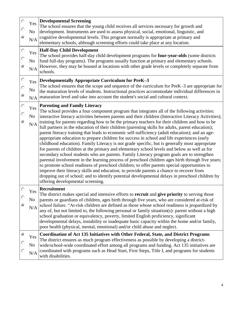|        | No<br>$\rm N/A$              | Yes Developmental Screening<br>The school ensures that the young child receives all services necessary for growth and<br>development. Instruments are used to assess physical, social, emotional, linguistic, and<br>cognitive developmental levels. This program normally is appropriate at primary and<br>elementary schools, although screening efforts could take place at any location.                                                                                                                                                                                                                                                                                                                                                                                                                                                                                                                                                                                                                                                                                                                                                                                                                                                                                                                                                                                                     |
|--------|------------------------------|--------------------------------------------------------------------------------------------------------------------------------------------------------------------------------------------------------------------------------------------------------------------------------------------------------------------------------------------------------------------------------------------------------------------------------------------------------------------------------------------------------------------------------------------------------------------------------------------------------------------------------------------------------------------------------------------------------------------------------------------------------------------------------------------------------------------------------------------------------------------------------------------------------------------------------------------------------------------------------------------------------------------------------------------------------------------------------------------------------------------------------------------------------------------------------------------------------------------------------------------------------------------------------------------------------------------------------------------------------------------------------------------------|
| Ō      | Yes<br>No<br>$\rm N/A$       | <b>Half-Day Child Development</b><br>The school provides half-day child development programs for four-year-olds (some districts<br>fund full-day programs). The programs usually function at primary and elementary schools.<br>However, they may be housed at locations with other grade levels or completely separate from<br>schools.                                                                                                                                                                                                                                                                                                                                                                                                                                                                                                                                                                                                                                                                                                                                                                                                                                                                                                                                                                                                                                                         |
| Ō<br>⊙ | Yes<br>N <sub>0</sub><br>N/A | Developmentally Appropriate Curriculum for PreK-3<br>The school ensures that the scope and sequence of the curriculum for PreK-3 are appropriate for<br>the maturation levels of students. Instructional practices accommodate individual differences in<br>maturation level and take into account the student's social and cultural context.                                                                                                                                                                                                                                                                                                                                                                                                                                                                                                                                                                                                                                                                                                                                                                                                                                                                                                                                                                                                                                                    |
| O      | Yes<br>No<br>N/A             | <b>Parenting and Family Literacy</b><br>The school provides a four component program that integrates all of the following activities:<br>interactive literacy activities between parents and their children (Interactive Literacy Activities);<br>training for parents regarding how to be the primary teachers for their children and how to be<br>full partners in the education of their children (parenting skills for adults, parent education);<br>parent literacy training that leads to economic self-sufficiency (adult education); and an age-<br>appropriate education to prepare children for success in school and life experiences (early<br>childhood education). Family Literacy is not grade specific, but is generally most appropriate<br>for parents of children at the primary and elementary school levels and below as well as for<br>secondary school students who are parents. Family Literacy program goals are to strengthen<br>parental involvement in the learning process of preschool children ages birth through five years;<br>to promote school readiness of preschool children; to offer parents special opportunities to<br>improve their literacy skills and education; to provide parents a chance to recover from<br>dropping out of school; and to identify potential developmental delays in preschool children by<br>offering developmental screening. |
| K.     | Yes<br>No<br>N/A             | Recruitment<br>The district makes special and intensive efforts to recruit and give priority to serving those<br>parents or guardians of children, ages birth through five years, who are considered at-risk of<br>school failure. "At-risk children are defined as those whose school readiness is jeopardized by<br>any of, but not limited to, the following personal or family situation(s): parent without a high<br>school graduation or equivalency, poverty, limited English proficiency, significant<br>developmental delays, instability or inadequate basic capacity within the home and/or family,<br>poor health (physical, mental, emotional) and/or child abuse and neglect.                                                                                                                                                                                                                                                                                                                                                                                                                                                                                                                                                                                                                                                                                                      |
|        | Yes<br>No<br>N/A             | <b>Coordination of Act 135 Initiatives with Other Federal, State, and District Programs</b><br>The district ensures as much program effectiveness as possible by developing a district-<br>wide/school-wide coordinated effort among all programs and funding. Act 135 initiatives are<br>coordinated with programs such as Head Start, First Steps, Title I, and programs for students<br>with disabilities.                                                                                                                                                                                                                                                                                                                                                                                                                                                                                                                                                                                                                                                                                                                                                                                                                                                                                                                                                                                    |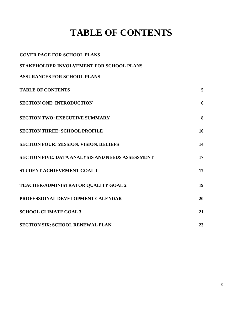# **TABLE OF CONTENTS**

| <b>COVER PAGE FOR SCHOOL PLANS</b>                      |    |
|---------------------------------------------------------|----|
| STAKEHOLDER INVOLVEMENT FOR SCHOOL PLANS                |    |
| <b>ASSURANCES FOR SCHOOL PLANS</b>                      |    |
| <b>TABLE OF CONTENTS</b>                                | 5  |
| <b>SECTION ONE: INTRODUCTION</b>                        | 6  |
| <b>SECTION TWO: EXECUTIVE SUMMARY</b>                   | 8  |
| <b>SECTION THREE: SCHOOL PROFILE</b>                    | 10 |
| <b>SECTION FOUR: MISSION, VISION, BELIEFS</b>           | 14 |
| <b>SECTION FIVE: DATA ANALYSIS AND NEEDS ASSESSMENT</b> | 17 |
| <b>STUDENT ACHIEVEMENT GOAL 1</b>                       | 17 |
| TEACHER/ADMINISTRATOR QUALITY GOAL 2                    | 19 |
| PROFESSIONAL DEVELOPMENT CALENDAR                       | 20 |
| <b>SCHOOL CLIMATE GOAL 3</b>                            | 21 |
| <b>SECTION SIX: SCHOOL RENEWAL PLAN</b>                 | 23 |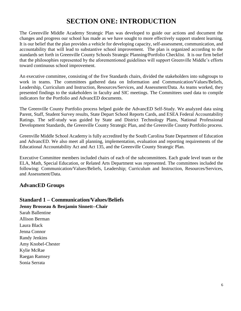## **SECTION ONE: INTRODUCTION**

The Greenville Middle Academy Strategic Plan was developed to guide our actions and document the changes and progress our school has made as we have sought to more effectively support student learning. It is our belief that the plan provides a vehicle for developing capacity, self-assessment, communication, and accountability that will lead to substantive school improvement. The plan is organized according to the standards set forth in Greenville County Schools Strategic Planning/Portfolio Checklist. It is our firm belief that the philosophies represented by the aforementioned guidelines will support Greenville Middle's efforts toward continuous school improvement.

An executive committee, consisting of the five Standards chairs, divided the stakeholders into subgroups to work in teams. The committees gathered data on Information and Communication/Values/Beliefs, Leadership, Curriculum and Instruction, Resources/Services, and Assessment/Data. As teams worked, they presented findings to the stakeholders in faculty and SIC meetings. The Committees used data to compile indicators for the Portfolio and AdvancED documents.

The Greenville County Portfolio process helped guide the AdvancED Self-Study. We analyzed data using Parent, Staff, Student Survey results, State Depart School Reports Cards, and ESEA Federal Accountability Ratings. The self-study was guided by State and District Technology Plans, National Professional Development Standards, the Greenville County Strategic Plan, and the Greenville County Portfolio process.

Greenville Middle School Academy is fully accredited by the South Carolina State Department of Education and AdvancED. We also meet all planning, implementation, evaluation and reporting requirements of the Educational Accountability Act and Act 135, and the Greenville County Strategic Plan.

Executive Committee members included chairs of each of the subcommittees. Each grade level team or the ELA, Math, Special Education, or Related Arts Department was represented. The committees included the following: Communication/Values/Beliefs, Leadership; Curriculum and Instruction, Resources/Services, and Assessment/Data.

#### **AdvancED Groups**

#### **Standard 1 – Communication/Values/Beliefs**

**Jenny Brosseau & Benjamin Sinnett--Chair** 

Sarah Ballentine Allison Berman Laura Black Jenna Connor Randy Jenkins Amy Knobel-Chester Kylie McRae Raegan Ramsey Sonia Serrata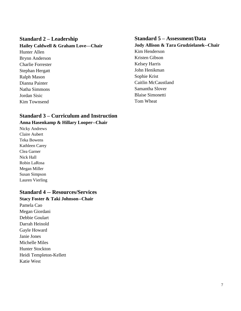#### **Standard 2 – Leadership**

#### **Hailey Caldwell & Graham Love—Chair**

Hunter Allen Brynn Anderson Charlie Forrester Stephan Hergatt Ralph Mason Dianna Painter Natha Simmons Jordan Sisic Kim Townsend

#### **Standard 3 – Curriculum and Instruction**

#### **Anna Hasenkamp & Hillary Looper--Chair**

Nicky Andrews Claire Aubert Teka Bowens Kathleen Carey Clea Garner Nick Hall Robin LaRosa Megan Miller Susan Simpson Lauren Vierling

#### **Standard 4 -- Resources/Services**

#### **Stacy Foster & Taki Johnson--Chair**

Pamela Cao Megan Giordani Debbie Goulart Darrah Heinold Gayle Howard Janie Jones Michelle Miles Hunter Stockton Heidi Templeton-Kellett Katie West

#### **Standard 5 – Assessment/Data**

**Jody Allison & Tara Grudzielanek--Chair** Kim Henderson Kristen Gibson Kelsey Harris John Henikman Sophie Krist Caitlin McCaustland Samantha Slover Blaise Simonetti Tom Wheat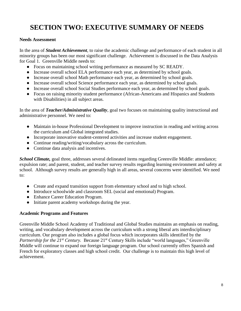# **SECTION TWO: EXECUTIVE SUMMARY OF NEEDS**

#### **Needs Assessment**

In the area of *Student Achievement*, to raise the academic challenge and performance of each student in all minority groups has been our most significant challenge. Achievement is discussed in the Data Analysis for Goal 1. Greenville Middle needs to:

- Focus on maintaining school writing performance as measured by SC READY.
- Increase overall school ELA performance each year, as determined by school goals.
- Increase overall school Math performance each year, as determined by school goals.
- Increase overall school Science performance each year, as determined by school goals.
- Increase overall school Social Studies performance each year, as determined by school goals.
- Focus on raising minority student performance (African-Americans and Hispanics and Students with Disabilities) in all subject areas.

In the area of *Teacher/Administrative Quality*, goal two focuses on maintaining quality instructional and administrative personnel. We need to:

- Maintain in-house Professional Development to improve instruction in reading and writing across the curriculum and Global integrated studies.
- Incorporate innovative student-centered activities and increase student engagement.
- Continue reading/writing/vocabulary across the curriculum.
- Continue data analysis and incentives.

*School Climate,* goal three, addresses several delineated items regarding Greenville Middle: attendance; expulsion rate; and parent, student, and teacher survey results regarding learning environment and safety at school. Although survey results are generally high in all areas, several concerns were identified. We need to:

- Create and expand transition support from elementary school and to high school.
- Introduce schoolwide and classroom SEL (social and emotional) Program.
- Enhance Career Education Program.
- Initiate parent academy workshops during the year.

#### **Academic Programs and Features**

Greenville Middle School Academy of Traditional and Global Studies maintains an emphasis on reading, writing, and vocabulary development across the curriculum with a strong liberal arts interdisciplinary curriculum. Our program also includes a global focus which incorporates skills identified by the *Partnership for the 21<sup>st</sup> Century.* Because 21<sup>st</sup> Century Skills include "world languages," Greenville Middle will continue to expand our foreign language program. Our school currently offers Spanish and French for exploratory classes and high school credit. Our challenge is to maintain this high level of achievement.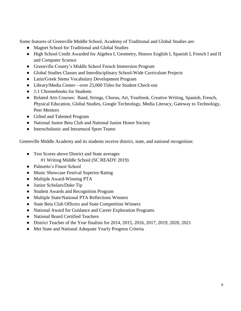Some features of Greenville Middle School, Academy of Traditional and Global Studies are:

- Magnet School for Traditional and Global Studies
- High School Credit Awarded for Algebra I, Geometry, Honors English I, Spanish I, French I and II and Computer Science
- Greenville County's Middle School French Immersion Program
- Global Studies Classes and Interdisciplinary School-Wide Curriculum Projects
- Latin/Greek Stems Vocabulary Development Program
- Library/Media Center—over 25,000 Titles for Student Check-out
- 1:1 Chromebooks for Students
- Related Arts Courses: Band, Strings, Chorus, Art, Yearbook, Creative Writing, Spanish, French, Physical Education, Global Studies, Google Technology, Media Literacy, Gateway to Technology, Peer Mentors
- Gifted and Talented Program
- National Junior Beta Club and National Junior Honor Society
- Interscholastic and Intramural Sport Teams

Greenville Middle Academy and its students receive district, state, and national recognition:

- Test Scores above District and State averages #1 Writing Middle School (SC READY 2019)
- Palmetto's Finest School
- Music Showcase Festival Superior Rating
- Multiple Award-Winning PTA
- Junior Scholars/Duke Tip
- Student Awards and Recognition Program
- Multiple State/National PTA Reflections Winners
- State Beta Club Officers and State Competition Winners
- National Award for Guidance and Career Exploration Programs
- National Board Certified Teachers
- District Teacher of the Year finalists for 2014, 2015, 2016, 2017, 2019, 2020, 2021
- Met State and National Adequate Yearly Progress Criteria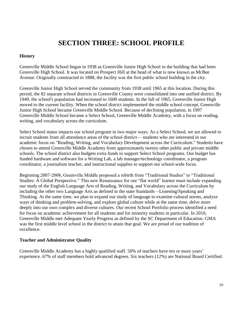## **SECTION THREE: SCHOOL PROFILE**

#### **History**

Greenville Middle School began in 1938 as Greenville Junior High School in the building that had been Greenville High School. It was located on Prospect Hill at the head of what is now known as McBee Avenue. Originally constructed in 1888, the facility was the first public school building in the city.

Greenville Junior High School served the community from 1938 until 1965 at this location. During this period, the 82 separate school districts in Greenville County were consolidated into one unified district. By 1949, the school's population had increased to 1600 students. In the fall of 1965, Greenville Junior High moved to the current facility. When the school district implemented the middle school concept, Greenville Junior High School became Greenville Middle School. Because of declining population, in 1997 Greenville Middle School became a Select School, Greenville Middle Academy, with a focus on reading, writing, and vocabulary across the curriculum.

Select School status impacts our school program in two major ways. As a Select School, we are allowed to recruit students from all attendance areas of the school district— students who are interested in our academic focus on "Reading, Writing, and Vocabulary Development across the Curriculum." Students have chosen to attend Greenville Middle Academy from approximately twenty other public and private middle schools. The school district also budgets extra funds to support Select School programs. Our budget has funded hardware and software for a Writing Lab, a lab manager/technology coordinator, a program coordinator, a journalism teacher, and instructional supplies to support our school-wide focus.

Beginning 2007-2008, Greenville Middle proposed a rebirth from "Traditional Studies" to "Traditional Studies: A Global Perspective." This new Renaissance for our "flat world" learner must include expanding our study of the English Language Arts of Reading, Writing, and Vocabulary across the Curriculum by including the other two Language Arts as defined in the state Standards—Listening/Speaking and Thinking. At the same time, we plan to expand our study of language to examine cultural norms, analyze ways of thinking and problem-solving, and explore global culture while at the same time, delve more deeply into our own complex and diverse cultures. Our recent School Portfolio process identified a need for focus on academic achievement for all students and for minority students in particular. In 2010, Greenville Middle met Adequate Yearly Progress as defined by the SC Department of Education. GMA was the first middle level school in the district to attain that goal. We are proud of our tradition of excellence.

#### **Teacher and Administrator Quality**

Greenville Middle Academy has a highly qualified staff. 50% of teachers have ten or more years' experience. 67% of staff members hold advanced degrees. Six teachers (12%) are National Board Certified.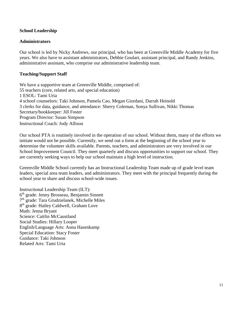#### **School Leadership**

#### **Administrators**

Our school is led by Nicky Andrews, our principal, who has been at Greenville Middle Academy for five years. We also have to assistant administrators, Debbie Goulart, assistant principal, and Randy Jenkins, administrative assistant, who comprise our administrative leadership team.

#### **Teaching/Support Staff**

We have a supportive team at Greenville Middle, comprised of: 55 teachers (core, related arts, and special education) 1 ESOL: Tami Uria 4 school counselors: Taki Johnson, Pamela Cao, Megan Giordani, Darrah Heinold 3 clerks for data, guidance, and attendance: Sherry Coleman, Sonya Sullivan, Nikki Thomas Secretary/bookkeeper: Jill Foster Program Director: Susan Simpson Instructional Coach: Jody Allison

Our school PTA is routinely involved in the operation of our school. Without them, many of the efforts we initiate would not be possible. Currently, we send out a form at the beginning of the school year to determine the volunteer skills available. Parents, teachers, and administrators are very involved in our School Improvement Council. They meet quarterly and discuss opportunities to support our school. They are currently seeking ways to help our school maintain a high level of instruction.

Greenville Middle School currently has an Instructional Leadership Team made up of grade level team leaders, special area team leaders, and administrators. They meet with the principal frequently during the school year to share and discuss school-wide issues.

Instructional Leadership Team (ILT): 6<sup>th</sup> grade: Jenny Brosseau, Benjamin Sinnett 7<sup>th</sup> grade: Tara Grudzielanek, Michelle Miles 8<sup>th</sup> grade: Hailey Caldwell, Graham Love Math: Jenna Bryant Science: Caitlin McCaustland Social Studies: Hillary Looper English/Language Arts: Anna Hasenkamp Special Education: Stacy Foster Guidance: Taki Johnson Related Arts: Tami Uria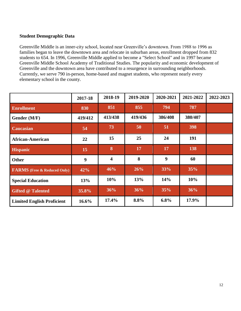#### **Student Demographic Data**

Greenville Middle is an inner-city school, located near Greenville's downtown. From 1988 to 1996 as families began to leave the downtown area and relocate in suburban areas, enrollment dropped from 832 students to 654. In 1996, Greenville Middle applied to become a "Select School" and in 1997 became Greenville Middle School Academy of Traditional Studies. The popularity and economic development of Greenville and the downtown area have contributed to a resurgence in surrounding neighborhoods. Currently, we serve 790 in-person, home-based and magnet students, who represent nearly every elementary school in the county.

|                                    | 2017-18  | 2018-19                 | 2019-2020 | 2020-2021 | 2021-2022 | 2022-2023 |
|------------------------------------|----------|-------------------------|-----------|-----------|-----------|-----------|
| <b>Enrollment</b>                  | 830      | 851                     | 855       | 794       | 787       |           |
| Gender (M/F)                       | 419/412  | 413/438                 | 419/436   | 386/408   | 380/407   |           |
| <b>Caucasian</b>                   | 54       | 73                      | 50        | 51        | 398       |           |
| <b>African-American</b>            | 22       | 15                      | 25        | 24        | 191       |           |
| <b>Hispanic</b>                    | 15       | 8                       | 17        | 17        | 138       |           |
| Other                              | 9        | $\overline{\mathbf{4}}$ | 8         | 9         | 60        |           |
| <b>FARMS</b> (Free & Reduced Only) | 42%      | 46%                     | 26%       | 33%       | 35%       |           |
| <b>Special Education</b>           | 13%      | 10%                     | 13%       | 14%       | 10%       |           |
| <b>Gifted @ Talented</b>           | 35.8%    | 36%                     | 36%       | 35%       | 36%       |           |
| <b>Limited English Proficient</b>  | $16.6\%$ | 17.4%                   | 8.8%      | 6.8%      | 17.9%     |           |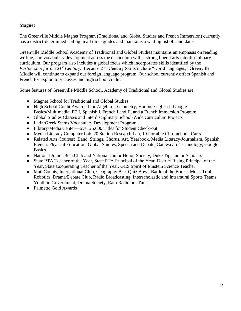#### **Magnet**

The Greenville Middle Magnet Program (Traditional and Global Studies and French Immersion) currently has a district-determined ceiling in all three grades and maintains a waiting list of candidates.

Greenville Middle School Academy of Traditional and Global Studies maintains an emphasis on reading, writing, and vocabulary development across the curriculum with a strong liberal arts interdisciplinary curriculum. Our program also includes a global focus which incorporates skills identified by the *Partnership for the 21<sup>st</sup> Century.* Because 21<sup>st</sup> Century Skills include "world languages," Greenville Middle will continue to expand our foreign language program. Our school currently offers Spanish and French for exploratory classes and high school credit.

Some features of Greenville Middle School, Academy of Traditional and Global Studies are:

- Magnet School for Traditional and Global Studies
- High School Credit Awarded for Algebra I, Geometry, Honors English I, Google Basics/Multimedia, PE I, Spanish I, French I and II, and a French Immersion Program
- Global Studies Classes and Interdisciplinary School-Wide Curriculum Projects
- Latin/Greek Stems Vocabulary Development Program
- Library/Media Center—over 25,000 Titles for Student Check-out
- Media Literacy Computer Lab, 20 Station Research Lab, 10 Portable Chromebook Carts
- Related Arts Courses: Band, Strings, Chorus, Art, Yearbook, Media Literacy/Journalism, Spanish, French, Physical Education, Global Studies, Speech and Debate, Gateway to Technology, Google **Basics**
- National Junior Beta Club and National Junior Honor Society, Duke Tip, Junior Scholars
- State PTA Teacher of the Year, State PTA Principal of the Year, District Rising Principal of the Year, State Cooperating Teacher of the Year, GCS Spirit of Einstein Science Teacher
- MathCounts, International Club, Geography Bee, Quiz Bowl, Battle of the Books, Mock Trial, Robotics, Drama/Debate Club, Radio Broadcasting, Interscholastic and Intramural Sports Teams, Youth in Government, Drama Society, Ram Radio on iTunes
- Palmetto Gold Awards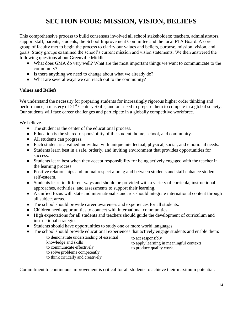# **SECTION FOUR: MISSION, VISION, BELIEFS**

This comprehensive process to build consensus involved all school stakeholders: teachers, administrators, support staff, parents, students, the School Improvement Committee and the local PTA Board. A core group of faculty met to begin the process to clarify our values and beliefs, purpose, mission, vision, and goals. Study groups examined the school's current mission and vision statements. We then answered the following questions about Greenville Middle:

- What does GMA do very well? What are the most important things we want to communicate to the community?
- Is there anything we need to change about what we already do?
- What are several ways we can reach out to the community?

#### **Values and Beliefs**

We understand the necessity for preparing students for increasingly rigorous higher order thinking and performance, a mastery of 21st Century Skills, and our need to prepare them to compete in a global society. Our students will face career challenges and participate in a globally competitive workforce.

We believe...

- The student is the center of the educational process.
- Education is the shared responsibility of the student, home, school, and community.
- All students can progress.
- Each student is a valued individual with unique intellectual, physical, social, and emotional needs.
- Students learn best in a safe, orderly, and inviting environment that provides opportunities for success.
- Students learn best when they accept responsibility for being actively engaged with the teacher in the learning process.
- Positive relationships and mutual respect among and between students and staff enhance students' self-esteem.
- Students learn in different ways and should be provided with a variety of curricula, instructional approaches, activities, and assessments to support their learning.
- A unified focus with state and international standards should integrate international content through all subject areas.
- The school should provide career awareness and experiences for all students.
- Children need opportunities to connect with international communities.
- High expectations for all students and teachers should guide the development of curriculum and instructional strategies.
- Students should have opportunities to study one or more world languages.
- The school should provide educational experiences that actively engage students and enable them:

to demonstrate understanding of essential knowledge and skills to communicate effectively to solve problems competently to think critically and creatively

to act responsibly to apply learning in meaningful contexts to produce quality work.

Commitment to continuous improvement is critical for all students to achieve their maximum potential.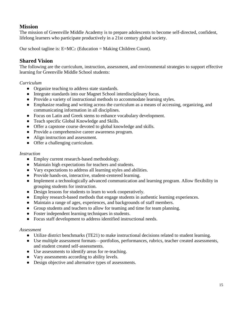#### **Mission**

The mission of Greenville Middle Academy is to prepare adolescents to become self-directed, confident, lifelong learners who participate productively in a 21st century global society.

Our school tagline is:  $E=MC<sub>2</sub>$  (Education = Making Children Count).

### **Shared Vision**

The following are the curriculum, instruction, assessment, and environmental strategies to support effective learning for Greenville Middle School students:

#### *Curriculum*

- Organize teaching to address state standards.
- Integrate standards into our Magnet School interdisciplinary focus.
- Provide a variety of instructional methods to accommodate learning styles.
- Emphasize reading and writing across the curriculum as a means of accessing, organizing, and communicating information in all disciplines.
- Focus on Latin and Greek stems to enhance vocabulary development.
- Teach specific Global Knowledge and Skills.
- Offer a capstone course devoted to global knowledge and skills.
- Provide a comprehensive career awareness program.
- Align instruction and assessment.
- Offer a challenging curriculum.

#### *Instruction*

- Employ current research-based methodology.
- Maintain high expectations for teachers and students.
- Vary expectations to address all learning styles and abilities.
- Provide hands-on, interactive, student-centered learning.
- Implement a technologically advanced communication and learning program. Allow flexibility in grouping students for instruction.
- Design lessons for students to learn to work cooperatively.
- Employ research-based methods that engage students in authentic learning experiences.
- Maintain a range of ages, experiences, and backgrounds of staff members.
- Group students and teachers to allow for teaming and time for team planning.
- Foster independent learning techniques in students.
- Focus staff development to address identified instructional needs.

#### *Assessment*

- Utilize district benchmarks (TE21) to make instructional decisions related to student learning.
- Use multiple assessment formats—portfolios, performances, rubrics, teacher created assessments, and student created self-assessments.
- Use assessments to identify areas for re-teaching.
- Vary assessments according to ability levels.
- Design objective and alternative types of assessments.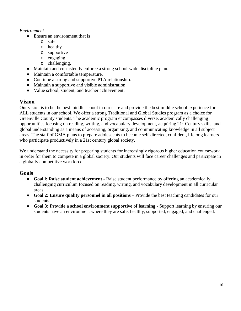#### *Environment*

- Ensure an environment that is
	- o safe
	- o healthy
	- o supportive
	- o engaging
	- o challenging.
- Maintain and consistently enforce a strong school-wide discipline plan.
- Maintain a comfortable temperature.
- Continue a strong and supportive PTA relationship.
- Maintain a supportive and visible administration.
- Value school, student, and teacher achievement.

#### **Vision**

Our vision is to be the best middle school in our state and provide the best middle school experience for ALL students in our school. We offer a strong Traditional and Global Studies program as a choice for Greenville County students. The academic program encompasses diverse, academically challenging opportunities focusing on reading, writing, and vocabulary development, acquiring 21<sup>st</sup> Century skills, and global understanding as a means of accessing, organizing, and communicating knowledge in all subject areas. The staff of GMA plans to prepare adolescents to become self-directed, confident, lifelong learners who participate productively in a 21st century global society.

We understand the necessity for preparing students for increasingly rigorous higher education coursework in order for them to compete in a global society. Our students will face career challenges and participate in a globally competitive workforce.

#### **Goals**

- **Goal l: Raise student achievement** Raise student performance by offering an academically challenging curriculum focused on reading, writing, and vocabulary development in all curricular areas.
- **Goal 2: Ensure quality personnel in all positions** Provide the best teaching candidates for our students.
- **Goal 3: Provide a school environment supportive of learning** Support learning by ensuring our students have an environment where they are safe, healthy, supported, engaged, and challenged.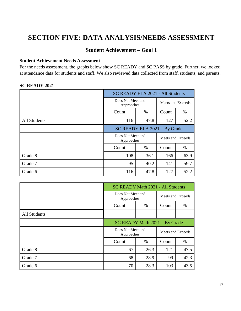# **SECTION FIVE: DATA ANALYSIS/NEEDS ASSESSMENT**

#### **Student Achievement – Goal 1**

#### **Student Achievement Needs Assessment**

For the needs assessment, the graphs below show SC READY and SC PASS by grade. Further, we looked at attendance data for students and staff. We also reviewed data collected from staff, students, and parents.

#### **SC READY 2021**

|                     | SC READY ELA 2021 - All Students |                   |                   |      |
|---------------------|----------------------------------|-------------------|-------------------|------|
|                     | Does Not Meet and<br>Approaches  | Meets and Exceeds |                   |      |
|                     | Count                            | %                 | Count             | %    |
| <b>All Students</b> | 116                              | 127               | 52.2              |      |
|                     | SC READY ELA 2021 - By Grade     |                   |                   |      |
|                     |                                  |                   |                   |      |
|                     | Does Not Meet and<br>Approaches  |                   | Meets and Exceeds |      |
|                     | Count                            | $\%$              | Count             | $\%$ |
| Grade 8             | 108                              | 36.1              | 166               | 63.9 |
| Grade 7             | 95                               | 40.2              | 141               | 59.7 |

|              | <b>SC READY Math 2021 - All Students</b> |                   |       |                   |  |
|--------------|------------------------------------------|-------------------|-------|-------------------|--|
|              | Does Not Meet and<br>Approaches          | Meets and Exceeds |       |                   |  |
|              | Count                                    | Count             | %     |                   |  |
| All Students |                                          |                   |       |                   |  |
|              | SC READY Math 2021 - By Grade            |                   |       |                   |  |
|              | Does Not Meet and<br>Approaches          |                   |       | Meets and Exceeds |  |
|              | Count<br>$\%$                            |                   | Count | %                 |  |
| Grade 8      | 67                                       | 26.3              | 121   | 47.5              |  |
| Grade 7      | 68<br>28.9                               |                   | 99    | 42.3              |  |
| Grade 6      | 103<br>70<br>28.3<br>43.5                |                   |       |                   |  |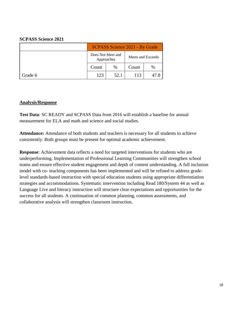#### **SCPASS Science 2021**

|         | SCPASS Science 2021 - By Grade  |      |                   |      |  |
|---------|---------------------------------|------|-------------------|------|--|
|         | Does Not Meet and<br>Approaches |      | Meets and Exceeds |      |  |
|         | $\%$<br>Count                   |      | Count             | $\%$ |  |
| Grade 6 | 123                             | 52.1 | 113               | 47.8 |  |

#### **Analysis/Response**

**Test Data**: SC READY and SCPASS Data from 2016 will establish a baseline for annual measurement for ELA and math and science and social studies.

**Attendance:** Attendance of both students and teachers is necessary for all students to achieve consistently. Both groups must be present for optimal academic achievement.

**Response**: Achievement data reflects a need for targeted interventions for students who are underperforming. Implementation of Professional Learning Communities will strengthen school teams and ensure effective student engagement and depth of content understanding. A full inclusion model with co- teaching components has been implemented and will be refined to address gradelevel standards-based instruction with special education students using appropriate differentiation strategies and accommodations. Systematic intervention including Read 180/System 44 as well as Language Live and literacy instruction will structure clear expectations and opportunities for the success for all students. A continuation of common planning, common assessments, and collaborative analysis will strengthen classroom instruction.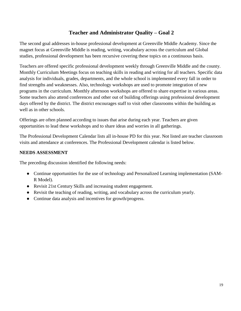#### **Teacher and Administrator Quality – Goal 2**

The second goal addresses in-house professional development at Greenville Middle Academy. Since the magnet focus at Greenville Middle is reading, writing, vocabulary across the curriculum and Global studies, professional development has been recursive covering these topics on a continuous basis.

Teachers are offered specific professional development weekly through Greenville Middle and the county. Monthly Curriculum Meetings focus on teaching skills in reading and writing for all teachers. Specific data analysis for individuals, grades, departments, and the whole school is implemented every fall in order to find strengths and weaknesses. Also, technology workshops are used to promote integration of new programs in the curriculum. Monthly afternoon workshops are offered to share expertise in various areas. Some teachers also attend conferences and other out of building offerings using professional development days offered by the district. The district encourages staff to visit other classrooms within the building as well as in other schools.

Offerings are often planned according to issues that arise during each year. Teachers are given opportunities to lead these workshops and to share ideas and worries in all gatherings.

The Professional Development Calendar lists all in-house PD for this year. Not listed are teacher classroom visits and attendance at conferences. The Professional Development calendar is listed below.

#### **NEEDS ASSESSMENT**

The preceding discussion identified the following needs:

- Continue opportunities for the use of technology and Personalized Learning implementation (SAM-R Model).
- Revisit 21st Century Skills and increasing student engagement.
- Revisit the teaching of reading, writing, and vocabulary across the curriculum yearly.
- Continue data analysis and incentives for growth/progress.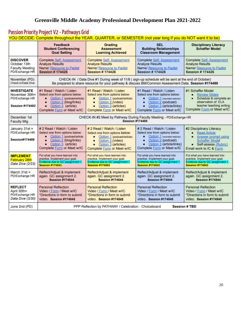### **Greenville Middle Academy Professional Development Plan 2021-2022**

| Passion Priority Project V2 - Pathways Grid<br>YOU DECIDE: Complete throughout the YEAR, QUARTER, or SEMESTER (not year long if you do NOT want it to be) |                                                                                                                                                                                                                                                                                                                                                                                                                                                                                                                                                                                                                                                                                                                                                                                          |                                                                                                                                                                                                          |                                                                                                                                                                                                           |                                                                                                                                                                           |  |  |  |
|-----------------------------------------------------------------------------------------------------------------------------------------------------------|------------------------------------------------------------------------------------------------------------------------------------------------------------------------------------------------------------------------------------------------------------------------------------------------------------------------------------------------------------------------------------------------------------------------------------------------------------------------------------------------------------------------------------------------------------------------------------------------------------------------------------------------------------------------------------------------------------------------------------------------------------------------------------------|----------------------------------------------------------------------------------------------------------------------------------------------------------------------------------------------------------|-----------------------------------------------------------------------------------------------------------------------------------------------------------------------------------------------------------|---------------------------------------------------------------------------------------------------------------------------------------------------------------------------|--|--|--|
|                                                                                                                                                           | Feedback<br><b>Student Conferencing</b><br><b>Goal Setting</b>                                                                                                                                                                                                                                                                                                                                                                                                                                                                                                                                                                                                                                                                                                                           | Grading<br><b>Assessment</b><br><b>Learning Achieved</b>                                                                                                                                                 | <b>SEL</b><br><b>Building Relationships</b><br><b>Classroom Management</b>                                                                                                                                | <b>Disciplinary Literacy</b><br><b>Schaffer Model</b>                                                                                                                     |  |  |  |
| <b>DISCOVER</b><br>October 13th<br><b>Faculty Meeting</b><br>PD/Exchange HR                                                                               | <b>Complete Self-Assessment</b><br><b>Analyze Results</b><br>Name/ Resource to Padlet<br><b>Session #174426</b>                                                                                                                                                                                                                                                                                                                                                                                                                                                                                                                                                                                                                                                                          | <b>Complete Self-Assessment</b><br><b>Analyze Results</b><br>Name/ Resource to Padlet<br><b>Session #174426</b>                                                                                          | <b>Complete Self-Assessment</b><br><b>Analyze Results</b><br>Name/ Resource to Padlet<br><b>Session #174426</b>                                                                                           | <b>Complete Self-Assessment</b><br><b>Analyze Results</b><br>Name/ Resource to Padlet<br><b>Session #174426</b>                                                           |  |  |  |
| November (PD)<br>Check-in/Data Dive                                                                                                                       |                                                                                                                                                                                                                                                                                                                                                                                                                                                                                                                                                                                                                                                                                                                                                                                          | CHECK-IN / Data Dive #1 During week of 11/8 (sign-up schedule will be sent at the end of October)<br>Be prepared to share resource for your pathway & discuss BM/Common Assessment Data. Session #174480 |                                                                                                                                                                                                           |                                                                                                                                                                           |  |  |  |
| <b>INVESTIGATE</b><br>November 30th=<br>PD/Exchange HR<br><b>Session #174482</b>                                                                          | #1 Schaffer Model<br>#1 Read / Watch / Listen<br>#1 Read / Watch / Listen<br>#1 Read / Watch / Listen<br>Select one from options below:<br>Select one from options below:<br>Select one from options below:<br><b>Review Slides</b><br>$\bullet$<br>Option 1 (podcast/article)<br>Option 1 (podcast/article)<br>Option 1 (recorded webinar)<br>Schedule & complete an<br>$\bullet$<br>$\bullet$<br>٠<br>observation of ELA<br>Option 2 (blog/links)<br>Option 2 (video)<br>Option 2 (podcast)<br>$\bullet$<br>$\bullet$<br>٠<br>teacher teaching writing<br>Option 3 (article)<br>Option 3 (articles)<br>Option 3 (article/links)<br>$\bullet$<br>$\bullet$<br>٠<br>Complete Form or Meet w/IC<br>Complete Form or Meet w/IC<br>Complete Form or Meet w/IC<br>Complete Form or Meet w/IC |                                                                                                                                                                                                          |                                                                                                                                                                                                           |                                                                                                                                                                           |  |  |  |
| December 1st<br><b>Faculty Mtg</b>                                                                                                                        |                                                                                                                                                                                                                                                                                                                                                                                                                                                                                                                                                                                                                                                                                                                                                                                          | CHECK-IN #2 Meet by Pathway During Faculty Meeting - PD/Exchange HR<br><b>Session #174485</b>                                                                                                            |                                                                                                                                                                                                           |                                                                                                                                                                           |  |  |  |
| January 31st =<br>PD/Exchange HR<br><b>Session#174488</b>                                                                                                 | # 2 Read / Watch / Listen<br>Select one from options below:<br>Option 1 (podcast/article<br>٠<br>Option 2 (blog/links)<br>$\bullet$<br>Option 3 (article)<br>$\bullet$<br>Complete Form or Meet w/IC                                                                                                                                                                                                                                                                                                                                                                                                                                                                                                                                                                                     | # 2 Read / Watch / Listen<br>Select one from options below:<br>Option 1 (podcast/article)<br>$\bullet$<br>Option 2 (video)<br>٠<br>Option 3 (articles)<br>٠<br>Complete Form or Meet w/IC                | # 2 Read / Watch / Listen<br>Select one from options below:<br>Option 1 (recorded webinar)<br>٠<br>Option 2 (podcast)<br>$\bullet$<br>Option 3 (article/links)<br>$\bullet$<br>Complete Form or Meet w/IC | #2 Disciplinary Literacy<br><b>Read Article</b><br>٠<br>Answer prompt using<br>٠<br><b>Schaffer Model</b><br>Self-assess (Rubric)<br>$\bullet$<br>Email work to IC & Form |  |  |  |
| <b>IMPLEMENT</b><br><b>February 28th</b><br>Data Dive (2/23)                                                                                              | Put what you have learned into<br>practice. Implement your goal.<br>Evidence due to GC assignment 1.<br><b>Session #174543</b>                                                                                                                                                                                                                                                                                                                                                                                                                                                                                                                                                                                                                                                           | Put what you have learned into<br>practice. Implement your goal.<br>Evidence due to GC assignment 1.<br><b>Session #174543</b>                                                                           | Put what you have learned into<br>practice. Implement your goal.<br>Evidence due to GC assignment 1.<br><b>Session #174543</b>                                                                            | Put what you have learned into<br>practice. Implement your goal.<br>Evidence due to GC assignment 1<br><b>Session #174543</b>                                             |  |  |  |
| March $31st =$<br>PD/Exchange HR                                                                                                                          | Reflect/Adjust & implement<br>Reflect/Adjust & implement<br>Reflect/Adjust & implement<br>Reflect/Adjust & implement<br>again. GC assignment 2.<br>again. GC assignment 2.<br>again. GC assignment 2.<br>again. GC assignment 2.<br><b>Session #174544</b><br><b>Session #174544</b><br><b>Session #174544</b><br><b>Session #174544</b>                                                                                                                                                                                                                                                                                                                                                                                                                                                 |                                                                                                                                                                                                          |                                                                                                                                                                                                           |                                                                                                                                                                           |  |  |  |
| <b>REFLECT</b><br>April 30th=<br>PD/Exchange HR<br>Data Dive (3/30)                                                                                       | <b>Personal Reflection</b><br>Video / Form / Meet w/IC<br>*Directions in form to submit<br>video. Session #174545                                                                                                                                                                                                                                                                                                                                                                                                                                                                                                                                                                                                                                                                        | <b>Personal Reflection</b><br>Video / Form / Meet w/IC<br>*Directions in form to submit<br>video. Session #174545                                                                                        | Personal Reflection<br>Video / Form / Meet w/IC<br>*Directions in form to submit<br>video. Session #174545                                                                                                | <b>Personal Reflection</b><br>Video / Form / Meet w/IC<br>*Directions in form to submit<br>video. Session #174545                                                         |  |  |  |
| June 2nd (PD)                                                                                                                                             | PPP Reflection by PATHWAY / Celebration - Choiceboard<br><b>Session # TBD</b>                                                                                                                                                                                                                                                                                                                                                                                                                                                                                                                                                                                                                                                                                                            |                                                                                                                                                                                                          |                                                                                                                                                                                                           |                                                                                                                                                                           |  |  |  |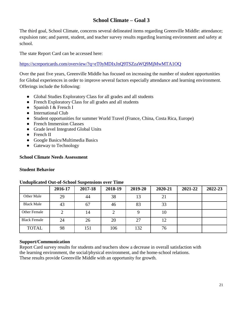### **School Climate – Goal 3**

The third goal, School Climate, concerns several delineated items regarding Greenville Middle: attendance; expulsion rate; and parent, student, and teacher survey results regarding learning environment and safety at school.

The state Report Card can be accessed here:

<https://screportcards.com/overview/?q=eT0yMDIxJnQ9TSZzaWQ9MjMwMTA1OQ>

Over the past five years, Greenville Middle has focused on increasing the number of student opportunities for Global experiences in order to improve several factors especially attendance and learning environment. Offerings include the following:

- Global Studies Exploratory Class for all grades and all students
- French Exploratory Class for all grades and all students
- Spanish I  $&$  French I
- International Club
- Student opportunities for summer World Travel (France, China, Costa Rica, Europe)
- French Immersion Classes
- Grade level Integrated Global Units
- French II
- Google Basics/Multimedia Basics
- Gateway to Technology

#### **School Climate Needs Assessment**

#### **Student Behavior**

|                     | 2016-17 | 2017-18 | 2018-19 | 2019-20 | 2020-21 | 2021-22 | 2022-23 |
|---------------------|---------|---------|---------|---------|---------|---------|---------|
| Other Male          | 29      | 44      | 38      | 13      | 21      |         |         |
| <b>Black Male</b>   | 43      | 67      | 46      | 83      | 33      |         |         |
| Other Female        |         | 14      | 2       |         | 10      |         |         |
| <b>Black Female</b> | 24      | 26      | 20      | 27      | 12      |         |         |
| <b>TOTAL</b>        | 98      | 151     | 106     | 132     | 76      |         |         |

#### **Unduplicated Out-of-School Suspensions over Time**

#### **Support/Communication**

Report Card survey results for students and teachers show a decrease in overall satisfaction with the learning environment, the social/physical environment, and the home-school relations. These results provide Greenville Middle with an opportunity for growth.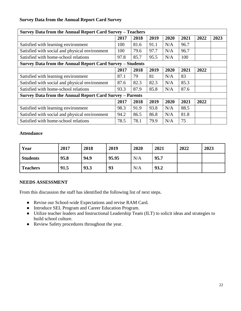#### **Survey Data from the Annual Report Card Survey**

| Survey Data from the Annual Report Card Survey - Teachers       |      |      |      |      |      |      |      |  |  |  |  |
|-----------------------------------------------------------------|------|------|------|------|------|------|------|--|--|--|--|
|                                                                 | 2017 | 2018 | 2019 | 2020 | 2021 | 2022 | 2023 |  |  |  |  |
| Satisfied with learning environment                             | 100  | 81.6 | 91.1 | N/A  | 96.7 |      |      |  |  |  |  |
| Satisfied with social and physical environment                  | 100  | 79.6 | 97.7 | N/A  | 96.7 |      |      |  |  |  |  |
| Satisfied with home-school relations                            | 97.8 | 85.7 | 95.5 | N/A  | 100  |      |      |  |  |  |  |
| Survey Data from the Annual Report Card Survey - Students       |      |      |      |      |      |      |      |  |  |  |  |
|                                                                 | 2017 | 2018 | 2019 | 2020 | 2021 | 2022 |      |  |  |  |  |
| Satisfied with learning environment                             | 87.1 | 79   | 81   | N/A  | 83   |      |      |  |  |  |  |
| Satisfied with social and physical environment                  | 87.6 | 82.3 | 82.3 | N/A  | 85.3 |      |      |  |  |  |  |
| Satisfied with home-school relations                            | 93.3 | 87.9 | 85.8 | N/A  | 87.6 |      |      |  |  |  |  |
| <b>Survey Data from the Annual Report Card Survey - Parents</b> |      |      |      |      |      |      |      |  |  |  |  |
|                                                                 | 2017 | 2018 | 2019 | 2020 | 2021 | 2022 |      |  |  |  |  |
| Satisfied with learning environment                             | 98.3 | 91.9 | 93.8 | N/A  | 88.5 |      |      |  |  |  |  |
| Satisfied with social and physical environment                  | 94.2 | 86.5 | 86.8 | N/A  | 81.8 |      |      |  |  |  |  |
| Satisfied with home-school relations                            | 78.5 | 78.1 | 79.9 | N/A  | 75   |      |      |  |  |  |  |

#### **Attendance**

| Year            | 2017 | 2018 | 2019  | 2020 | 2021 | 2022 | 2023 |
|-----------------|------|------|-------|------|------|------|------|
| <b>Students</b> | 95.8 | 94.9 | 95.95 | N/A  | 95.7 |      |      |
| <b>Teachers</b> | 91.5 | 93.3 | 93    | N/A  | 93.2 |      |      |

#### **NEEDS ASSESSMENT**

From this discussion the staff has identified the following list of next steps.

- Revise our School-wide Expectations and revise RAM Card.
- Introduce SEL Program and Career Education Program.
- Utilize teacher leaders and Instructional Leadership Team (ILT) to solicit ideas and strategies to build school culture.
- Review Safety procedures throughout the year.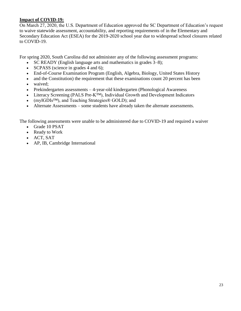#### **Impact of COVID-19:**

On March 27, 2020, the U.S. Department of Education approved the SC Department of Education's request to waive statewide assessment, accountability, and reporting requirements of in the Elementary and Secondary Education Act (ESEA) for the 2019-2020 school year due to widespread school closures related to COVID-19.

For spring 2020, South Carolina did not administer any of the following assessment programs:

- SC READY (English language arts and mathematics in grades 3–8);
- SCPASS (science in grades 4 and 6);
- End-of-Course Examination Program (English, Algebra, Biology, United States History
- and the Constitution) the requirement that these examinations count 20 percent has been
- waived:
- Prekindergarten assessments 4-year-old kindergarten (Phonological Awareness
- Literacy Screening (PALS Pre-K™), Individual Growth and Development Indicators
- (myIGDIs<sup>TM</sup>), and Teaching Strategies® GOLD); and
- Alternate Assessments some students have already taken the alternate assessments.

The following assessments were unable to be administered due to COVID-19 and required a waiver

- Grade 10 PSAT
- Ready to Work
- ACT, SAT
- AP, IB, Cambridge International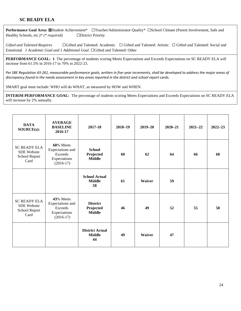#### **SC READY ELA**

Performance Goal Area: **⊠**Student Achievement\* □Teacher/Administrator Quality\* □School Climate (Parent Involvement, Safe and Healthy Schools, etc.)\* *(\* required)* ☐District Priority

Gifted and Talented Requires □ Gifted and Talented: Academic □ Gifted and Talented: Artistic □ Gifted and Talented: Social and Emotional *1 Academic Goal and 1 Additional Goal* ☐Gifted and Talented: Other

**PERFORMANCE GOAL: 1** The percentage of students scoring Meets Expectations and Exceeds Expectations on SC READY ELA will increase from 61.5% in 2016-17 to 70% in 2022-23.

*Per SBE Regulation 43-261, measurable performance goals, written in five-year increments, shall be developed to address the major areas of discrepancy found in the needs assessment in key areas reported in the district and school report cards.*

SMART goal must include: WHO will do WHAT, as measured by HOW and WHEN.

**INTERIM PERFORMANCE GOAL:** The percentage of students scoring Meets Expectations and Exceeds Expectations on SC READY ELA will increase by 2% annually.

| <b>DATA</b><br>SOURCE(s):                                          | <b>AVERAGE</b><br><b>BASELINE</b><br>2016-17                            | 2017-18                                       | 2018-19 | $2019 - 20$   | $2020 - 21$ | $2021 - 22$ | $2022 - 23$ |
|--------------------------------------------------------------------|-------------------------------------------------------------------------|-----------------------------------------------|---------|---------------|-------------|-------------|-------------|
| <b>SC READY ELA</b><br><b>SDE</b> Website<br>School Report<br>Card | 60% Meets<br>Expectations and<br>Exceeds<br>Expectations<br>$(2016-17)$ | <b>School</b><br>Projected<br><b>Middle</b>   | 60      | 62            | 64          | 66          | 68          |
|                                                                    |                                                                         | <b>School Actual</b><br><b>Middle</b><br>58   | 61      | <b>Waiver</b> | 59          |             |             |
| <b>SC READY ELA</b><br><b>SDE</b> Website<br>School Report<br>Card | 43% Meets<br>Expectations and<br>Exceeds<br>Expectations<br>$(2016-17)$ | <b>District</b><br>Projected<br><b>Middle</b> | 46      | 49            | 52          | 55          | 58          |
|                                                                    |                                                                         | <b>District Actual</b><br><b>Middle</b><br>44 | 49      | <b>Waiver</b> | 47          |             |             |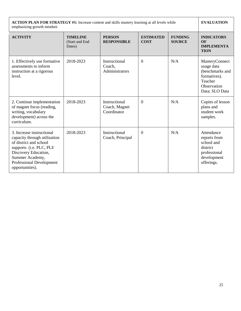| <b>ACTION PLAN FOR STRATEGY #1:</b> Increase content and skills mastery learning at all levels while<br>emphasizing growth mindset.                                                                       |                                              | <b>EVALUATION</b>                             |                                 |                                 |                                                                                                             |
|-----------------------------------------------------------------------------------------------------------------------------------------------------------------------------------------------------------|----------------------------------------------|-----------------------------------------------|---------------------------------|---------------------------------|-------------------------------------------------------------------------------------------------------------|
| <b>ACTIVITY</b>                                                                                                                                                                                           | <b>TIMELINE</b><br>(Start and End)<br>Dates) | <b>PERSON</b><br><b>RESPONSIBLE</b>           | <b>ESTIMATED</b><br><b>COST</b> | <b>FUNDING</b><br><b>SOURCE</b> | <b>INDICATORS</b><br>OF<br><b>IMPLEMENTA</b><br><b>TION</b>                                                 |
| 1. Effectively use formative<br>assessments to inform<br>instruction at a rigorous<br>level.                                                                                                              | 2018-2023                                    | Instructional<br>Coach,<br>Administrators     | $\boldsymbol{0}$                | N/A                             | MasteryConnect<br>usage data<br>(benchmarks and<br>formatives).<br>Teacher<br>Observation<br>Data; SLO Data |
| 2. Continue implementation<br>of magnet focus (reading,<br>writing, vocabulary<br>development) across the<br>curriculum.                                                                                  | 2018-2023                                    | Instructional<br>Coach, Magnet<br>Coordinator | $\theta$                        | N/A                             | Copies of lesson<br>plans and<br>student work<br>samples.                                                   |
| 3. Increase instructional<br>capacity through utilization<br>of district and school<br>supports (i.e. PLC, PLI/<br>Discovery Education,<br>Summer Academy,<br>Professional Development<br>opportunities). | 2018-2023                                    | Instructional<br>Coach, Principal             | $\boldsymbol{0}$                | N/A                             | Attendance<br>reports from<br>school and<br>district<br>professional<br>development<br>offerings.           |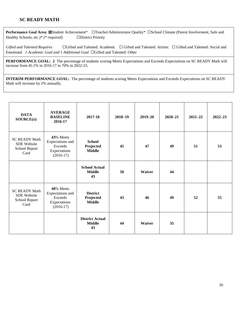#### **SC READY MATH**

Performance Goal Area: ⊠Student Achievement\* □Teacher/Administrator Quality\* □School Climate (Parent Involvement, Safe and Healthy Schools, etc.)\* *(\* required)* ☐District Priority

Gifted and Talented Requires □Gifted and Talented: Academic □Gifted and Talented: Artistic □Gifted and Talented: Social and Emotional *1 Academic Goal and 1 Additional Goal* ☐Gifted and Talented: Other

**PERFORMANCE GOAL: 2** The percentage of students scoring Meets Expectations and Exceeds Expectations on SC READY Math will increase from 45.1% in 2016-17 to 70% in 2022-23.

**INTERIM PERFORMANCE GOAL:** The percentage of students scoring Meets Expectations and Exceeds Expectations on SC READY Math will increase by 2% annually.

| <b>DATA</b><br>SOURCE(s):                                           | <b>AVERAGE</b><br><b>BASELINE</b><br>2016-17                            | 2017-18                                       | 2018-19 | $2019 - 20$ | $2020 - 21$ | $2021 - 22$ | $2022 - 23$ |
|---------------------------------------------------------------------|-------------------------------------------------------------------------|-----------------------------------------------|---------|-------------|-------------|-------------|-------------|
| <b>SC READY Math</b><br><b>SDE</b> Website<br>School Report<br>Card | 43% Meets<br>Expectations and<br>Exceeds<br>Expectations<br>$(2016-17)$ | <b>School</b><br>Projected<br><b>Middle</b>   | 45      | 47          | 49          | 51          | 53          |
|                                                                     |                                                                         | <b>School Actual</b><br><b>Middle</b><br>43   | 50      | Waiver      | 44          |             |             |
| <b>SC READY Math</b><br><b>SDE</b> Website<br>School Report<br>Card | 40% Meets<br>Expectations and<br>Exceeds<br>Expectations<br>$(2016-17)$ | <b>District</b><br>Projected<br><b>Middle</b> | 43      | 46          | 49          | 52          | 55          |
|                                                                     |                                                                         | <b>District Actual</b><br><b>Middle</b><br>43 | 44      | Waiver      | 35          |             |             |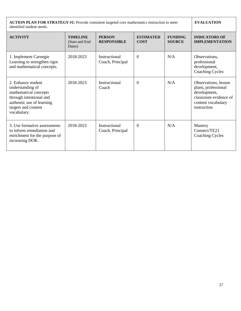**ACTION PLAN FOR STRATEGY #1:** Provide consistent targeted core mathematics instruction to meet identified student needs. **EVALUATION ACTIVITY TIMELINE** (Start and End Dates) **PERSON RESPONSIBLE ESTIMATED COST FUNDING SOURCE INDICATORS OF IMPLEMENTATION** 1. Implement Carnegie Learning to strengthen rigor and mathematical concepts. 2018-2023 Instructional Coach, Principal 0  $N/A$  Observations. professional development, Coaching Cycles 2. Enhance student understanding of mathematical concepts through intentional and authentic use of learning targets and content vocabulary. 2018-2023 Instructional **Coach** 0 N/A Dbservations, lesson plans, professional development, classroom evidence of content vocabulary instruction 3. Use formative assessments to inform remediation and enrichment for the purpose of increasing DOK. 2018-2023 Instructional Coach, Principal 0 N/A Mastery Connect/TE21 Coaching Cycles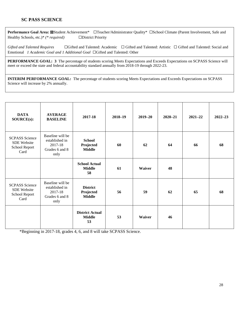#### **SC PASS SCIENCE**

Performance Goal Area: **⊠**Student Achievement\* □Teacher/Administrator Quality\* □School Climate (Parent Involvement, Safe and Healthy Schools, etc.)\* *(\* required)* ☐District Priority

Gifted and Talented Requires □ Gifted and Talented: Academic □ Gifted and Talented: Artistic □ Gifted and Talented: Social and Emotional *1 Academic Goal and 1 Additional Goal* ☐Gifted and Talented: Other

**PERFORMANCE GOAL: 3** The percentage of students scoring Meets Expectations and Exceeds Expectations on SCPASS Science will meet or exceed the state and federal accountability standard annually from 2018-19 through 2022-23.

**INTERIM PERFORMANCE GOAL:** The percentage of students scoring Meets Expectations and Exceeds Expectations on SCPASS Science will increase by 2% annually.

| <b>DATA</b><br>SOURCE(s):                                     | <b>AVERAGE</b><br><b>BASELINE</b>                                       | 2017-18                                       | $2018 - 19$ | $2019 - 20$ | $2020 - 21$ | $2021 - 22$ | $2022 - 23$ |
|---------------------------------------------------------------|-------------------------------------------------------------------------|-----------------------------------------------|-------------|-------------|-------------|-------------|-------------|
| <b>SCPASS</b> Science<br>SDE Website<br>School Report<br>Card | Baseline will be<br>established in<br>2017-18<br>Grades 6 and 8<br>only | <b>School</b><br>Projected<br><b>Middle</b>   | 60          | 62          | 64          | 66          | 68          |
|                                                               |                                                                         | <b>School Actual</b><br><b>Middle</b><br>58   | 61          | Waiver      | 48          |             |             |
| <b>SCPASS Science</b><br>SDE Website<br>School Report<br>Card | Baseline will be<br>established in<br>2017-18<br>Grades 6 and 8<br>only | <b>District</b><br>Projected<br><b>Middle</b> | 56          | 59          | 62          | 65          | 68          |
|                                                               |                                                                         | <b>District Actual</b><br><b>Middle</b><br>53 | 53          | Waiver      | 46          |             |             |

\*Beginning in 2017-18, grades 4, 6, and 8 will take SCPASS Science.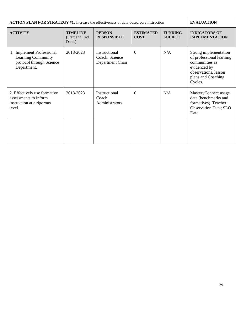| <b>ACTION PLAN FOR STRATEGY #1:</b> Increase the effectiveness of data-based core instruction |                                              | <b>EVALUATION</b>                                   |                                 |                                 |                                                                                                                                              |
|-----------------------------------------------------------------------------------------------|----------------------------------------------|-----------------------------------------------------|---------------------------------|---------------------------------|----------------------------------------------------------------------------------------------------------------------------------------------|
| <b>ACTIVITY</b>                                                                               | <b>TIMELINE</b><br>(Start and End)<br>Dates) | <b>PERSON</b><br><b>RESPONSIBLE</b>                 | <b>ESTIMATED</b><br><b>COST</b> | <b>FUNDING</b><br><b>SOURCE</b> | <b>INDICATORS OF</b><br><b>IMPLEMENTATION</b>                                                                                                |
| 1. Implement Professional<br>Learning Community<br>protocol through Science<br>Department.    | 2018-2023                                    | Instructional<br>Coach, Science<br>Department Chair | $\Omega$                        | N/A                             | Strong implementation<br>of professional learning<br>communities as<br>evidenced by<br>observations, lesson<br>plans and Coaching<br>Cycles. |
| 2. Effectively use formative<br>assessments to inform<br>instruction at a rigorous<br>level.  | 2018-2023                                    | Instructional<br>Coach,<br>Administrators           | $\theta$                        | N/A                             | MasteryConnect usage<br>data (benchmarks and<br>formatives). Teacher<br><b>Observation Data; SLO</b><br>Data                                 |
|                                                                                               |                                              |                                                     |                                 |                                 |                                                                                                                                              |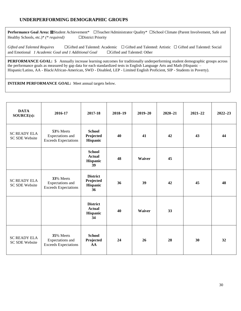#### **UNDERPERFORMING DEMOGRAPHIC GROUPS**

**Performance Goal Area: ⊠Student Achievement\*** □Teacher/Administrator Quality\* □School Climate (Parent Involvement, Safe and Healthy Schools, etc.)\* *(\* required)* ☐District Priority

Gifted and Talented Requires □Gifted and Talented: Academic □Gifted and Talented: Artistic □Gifted and Talented: Social and Emotional *1 Academic Goal and 1 Additional Goal* ☐Gifted and Talented: Other

**PERFORMANCE GOAL: 5** Annually increase learning outcomes for traditionally underperforming student demographic groups across the performance goals as measured by gap data for each standardized tests in English Language Arts and Math (Hispanic – Hispanic/Latino, AA - Black/African-American, SWD - Disabled, LEP - Limited English Proficient, SIP - Students in Poverty).

| <b>DATA</b><br>SOURCE(s):                    | 2016-17                                                      | 2017-18                                                   | $2018 - 19$ | $2019 - 20$ | $2020 - 21$ | $2021 - 22$ | $2022 - 23$ |
|----------------------------------------------|--------------------------------------------------------------|-----------------------------------------------------------|-------------|-------------|-------------|-------------|-------------|
| <b>SC READY ELA</b><br><b>SC SDE Website</b> | 53% Meets<br>Expectations and<br><b>Exceeds Expectations</b> | <b>School</b><br>Projected<br>Hispanic                    | 40          | 41          | 42          | 43          | 44          |
|                                              |                                                              | <b>School</b><br>Actual<br>Hispanic<br>39                 | 48          | Waiver      | 45          |             |             |
| <b>SC READY ELA</b><br><b>SC SDE Website</b> | 33% Meets<br>Expectations and<br><b>Exceeds Expectations</b> | <b>District</b><br>Projected<br>Hispanic<br>36            | 36          | 39          | 42          | 45          | 48          |
|                                              |                                                              | <b>District</b><br><b>Actual</b><br><b>Hispanic</b><br>34 | 40          | Waiver      | 33          |             |             |
| <b>SC READY ELA</b><br><b>SC SDE Website</b> | 35% Meets<br>Expectations and<br><b>Exceeds Expectations</b> | <b>School</b><br>Projected<br>AA                          | 24          | 26          | 28          | 30          | 32          |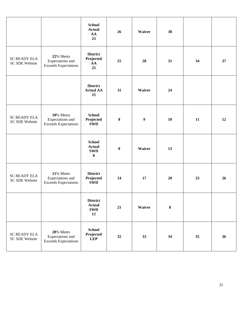|                                       |                                                              | <b>School</b><br><b>Actual</b><br>AA<br>23           | 26      | Waiver           | 38      |    |    |
|---------------------------------------|--------------------------------------------------------------|------------------------------------------------------|---------|------------------|---------|----|----|
| <b>SC READY ELA</b><br>SC SDE Website | 22% Meets<br>Expectations and<br><b>Exceeds Expectations</b> | <b>District</b><br>Projected<br>AA<br>25             | 25      | 28               | 31      | 34 | 37 |
|                                       |                                                              | <b>District</b><br><b>Actual AA</b><br>25            | 31      | Waiver           | 24      |    |    |
| <b>SC READY ELA</b><br>SC SDE Website | 10% Meets<br>Expectations and<br><b>Exceeds Expectations</b> | <b>School</b><br>Projected<br><b>SWD</b>             | $\bf 8$ | $\boldsymbol{9}$ | 10      | 11 | 12 |
|                                       |                                                              | <b>School</b><br><b>Actual</b><br><b>SWD</b><br>8    | $\bf 8$ | Waiver           | 13      |    |    |
| <b>SC READY ELA</b><br>SC SDE Website | 11% Meets<br>Expectations and<br><b>Exceeds Expectations</b> | <b>District</b><br>Projected<br><b>SWD</b>           | 14      | 17               | 20      | 23 | 26 |
|                                       |                                                              | <b>District</b><br><b>Actual</b><br><b>SWD</b><br>12 | 21      | Waiver           | $\bf 8$ |    |    |
| <b>SC READY ELA</b><br>SC SDE Website | 28% Meets<br>Expectations and<br><b>Exceeds Expectations</b> | <b>School</b><br>Projected<br><b>LEP</b>             | 32      | 33               | 34      | 35 | 36 |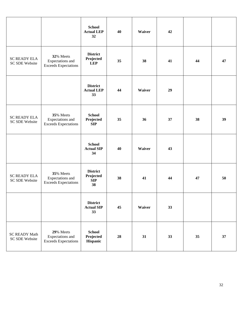|                                        |                                                              | <b>School</b><br><b>Actual LEP</b><br>32   | 40 | Waiver | 42 |    |    |
|----------------------------------------|--------------------------------------------------------------|--------------------------------------------|----|--------|----|----|----|
| <b>SC READY ELA</b><br>SC SDE Website  | 32% Meets<br>Expectations and<br><b>Exceeds Expectations</b> | <b>District</b><br>Projected<br><b>LEP</b> | 35 | 38     | 41 | 44 | 47 |
|                                        |                                                              | <b>District</b><br><b>Actual LEP</b><br>33 | 44 | Waiver | 29 |    |    |
| <b>SC READY ELA</b><br>SC SDE Website  | 35% Meets<br>Expectations and<br><b>Exceeds Expectations</b> | <b>School</b><br>Projected<br>SIP          | 35 | 36     | 37 | 38 | 39 |
|                                        |                                                              | <b>School</b><br><b>Actual SIP</b><br>34   | 40 | Waiver | 43 |    |    |
| <b>SC READY ELA</b><br>SC SDE Website  | 35% Meets<br>Expectations and<br><b>Exceeds Expectations</b> | <b>District</b><br>Projected<br>SIP<br>38  | 38 | 41     | 44 | 47 | 50 |
|                                        |                                                              | <b>District</b><br><b>Actual SIP</b><br>33 | 45 | Waiver | 33 |    |    |
| <b>SC READY Math</b><br>SC SDE Website | 29% Meets<br>Expectations and<br><b>Exceeds Expectations</b> | <b>School</b><br>Projected<br>Hispanic     | 28 | 31     | 33 | 35 | 37 |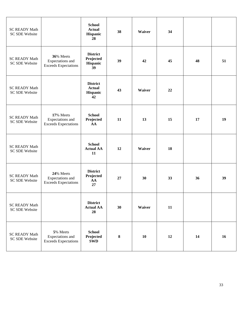| <b>SC READY Math</b><br>SC SDE Website        |                                                              | <b>School</b><br><b>Actual</b><br>Hispanic<br>28   | 38        | Waiver | 34 |    |    |
|-----------------------------------------------|--------------------------------------------------------------|----------------------------------------------------|-----------|--------|----|----|----|
| <b>SC READY Math</b><br><b>SC SDE Website</b> | 36% Meets<br>Expectations and<br><b>Exceeds Expectations</b> | <b>District</b><br>Projected<br>Hispanic<br>39     | 39        | 42     | 45 | 48 | 51 |
| <b>SC READY Math</b><br><b>SC SDE Website</b> |                                                              | <b>District</b><br><b>Actual</b><br>Hispanic<br>42 | 43        | Waiver | 22 |    |    |
| <b>SC READY Math</b><br><b>SC SDE Website</b> | 17% Meets<br>Expectations and<br><b>Exceeds Expectations</b> | <b>School</b><br>Projected<br>AA                   | 11        | 13     | 15 | 17 | 19 |
| <b>SC READY Math</b><br>SC SDE Website        |                                                              | <b>School</b><br><b>Actual AA</b><br>11            | 12        | Waiver | 18 |    |    |
| <b>SC READY Math</b><br><b>SC SDE Website</b> | 24% Meets<br>Expectations and<br><b>Exceeds Expectations</b> | <b>District</b><br>Projected<br>AA<br>27           | 27        | 30     | 33 | 36 | 39 |
| <b>SC READY Math</b><br>SC SDE Website        |                                                              | <b>District</b><br><b>Actual AA</b><br>28          | 30        | Waiver | 11 |    |    |
| <b>SC READY Math</b><br>SC SDE Website        | 5% Meets<br>Expectations and<br><b>Exceeds Expectations</b>  | <b>School</b><br>Projected<br><b>SWD</b>           | ${\bf 8}$ | 10     | 12 | 14 | 16 |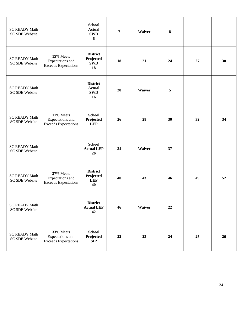| <b>SC READY Math</b><br>SC SDE Website        |                                                              | <b>School</b><br><b>Actual</b><br><b>SWD</b><br>6    | $\overline{7}$ | Waiver | $\bf{8}$ |    |    |
|-----------------------------------------------|--------------------------------------------------------------|------------------------------------------------------|----------------|--------|----------|----|----|
| <b>SC READY Math</b><br>SC SDE Website        | 15% Meets<br>Expectations and<br><b>Exceeds Expectations</b> | <b>District</b><br>Projected<br><b>SWD</b><br>18     | 18             | 21     | 24       | 27 | 30 |
| <b>SC READY Math</b><br>SC SDE Website        |                                                              | <b>District</b><br><b>Actual</b><br><b>SWD</b><br>16 | 20             | Waiver | 5        |    |    |
| <b>SC READY Math</b><br>SC SDE Website        | 11% Meets<br>Expectations and<br><b>Exceeds Expectations</b> | <b>School</b><br>Projected<br><b>LEP</b>             | 26             | 28     | 30       | 32 | 34 |
| <b>SC READY Math</b><br>SC SDE Website        |                                                              | <b>School</b><br><b>Actual LEP</b><br>26             | 34             | Waiver | 37       |    |    |
| <b>SC READY Math</b><br><b>SC SDE Website</b> | 37% Meets<br>Expectations and<br><b>Exceeds Expectations</b> | <b>District</b><br>Projected<br><b>LEP</b><br>40     | 40             | 43     | 46       | 49 | 52 |
| <b>SC READY Math</b><br>SC SDE Website        |                                                              | <b>District</b><br><b>Actual LEP</b><br>42           | 46             | Waiver | 22       |    |    |
| <b>SC READY Math</b><br>SC SDE Website        | 33% Meets<br>Expectations and<br><b>Exceeds Expectations</b> | <b>School</b><br>Projected<br>SIP                    | 22             | 23     | 24       | 25 | 26 |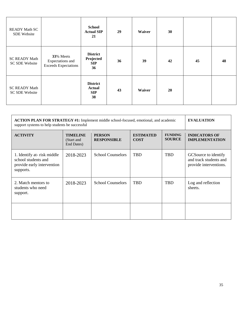| <b>READY Math SC</b><br>SDE Website           |                                                              | <b>School</b><br><b>Actual SIP</b><br>21             | 29 | Waiver | 30 |    |    |
|-----------------------------------------------|--------------------------------------------------------------|------------------------------------------------------|----|--------|----|----|----|
| <b>SC READY Math</b><br><b>SC SDE Website</b> | 33% Meets<br>Expectations and<br><b>Exceeds Expectations</b> | <b>District</b><br>Projected<br><b>SIP</b><br>36     | 36 | 39     | 42 | 45 | 48 |
| <b>SC READY Math</b><br><b>SC SDE Website</b> |                                                              | <b>District</b><br><b>Actual</b><br><b>SIP</b><br>38 | 43 | Waiver | 20 |    |    |

| <b>ACTION PLAN FOR STRATEGY #1:</b> Implement middle school-focused, emotional, and academic<br>support systems to help students be successful |                                             | <b>EVALUATION</b>                   |                                 |                                 |                                                                           |
|------------------------------------------------------------------------------------------------------------------------------------------------|---------------------------------------------|-------------------------------------|---------------------------------|---------------------------------|---------------------------------------------------------------------------|
| <b>ACTIVITY</b>                                                                                                                                | <b>TIMELINE</b><br>(Start and<br>End Dates) | <b>PERSON</b><br><b>RESPONSIBLE</b> | <b>ESTIMATED</b><br><b>COST</b> | <b>FUNDING</b><br><b>SOURCE</b> | <b>INDICATORS OF</b><br><b>IMPLEMENTATION</b>                             |
| 1. Identify at-risk middle<br>school students and<br>provide early intervention<br>supports.                                                   | 2018-2023                                   | <b>School Counselors</b>            | <b>TBD</b>                      | <b>TBD</b>                      | GCS ource to identify<br>and track students and<br>provide interventions. |
| 2. Match mentors to<br>students who need<br>support.                                                                                           | 2018-2023                                   | <b>School Counselors</b>            | <b>TBD</b>                      | <b>TBD</b>                      | Log and reflection<br>sheets.                                             |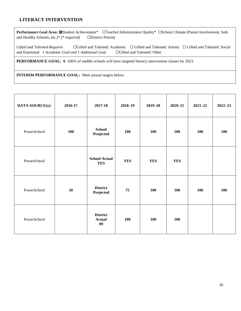#### **LITERACY INTERVENTION**

Performance Goal Area: **⊠**Student Achievement\* □Teacher/Administrator Quality\* □School Climate (Parent Involvement, Safe and Healthy Schools, etc.)\* *(\* required)* ☐District Priority

Gifted and Talented Requires □Gifted and Talented: Academic □Gifted and Talented: Artistic □Gifted and Talented: Social and Emotional *1 Academic Goal and 1 Additional Goal* ☐Gifted and Talented: Other

**PERFORMANCE GOAL: 6** 100% of middle schools will have targeted literacy intervention classes by 2023.

| DATA SOURCE(s): | 2016-17 | 2017-18                                | $2018 - 19$ | $2019 - 20$ | $2020 - 21$ | $2021 - 22$ | $2022 - 23$ |
|-----------------|---------|----------------------------------------|-------------|-------------|-------------|-------------|-------------|
| PowerSchool     | 100     | <b>School</b><br>Projected             | 100         | 100         | 100         | <b>100</b>  | 100         |
| PowerSchool     |         | <b>School Actual</b><br><b>YES</b>     | <b>YES</b>  | <b>YES</b>  | <b>YES</b>  |             |             |
| PowerSchool     | 50      | <b>District</b><br>Projected           | 75          | 100         | 100         | 100         | 100         |
| PowerSchool     |         | <b>District</b><br><b>Actual</b><br>89 | 100         | 100         | 100         |             |             |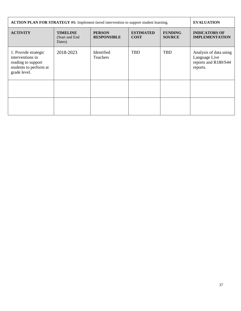| <b>ACTION PLAN FOR STRATEGY #1:</b> Implement tiered intervention to support student learning.           |                                              | <b>EVALUATION</b>                   |                                 |                                 |                                                                             |
|----------------------------------------------------------------------------------------------------------|----------------------------------------------|-------------------------------------|---------------------------------|---------------------------------|-----------------------------------------------------------------------------|
| <b>ACTIVITY</b>                                                                                          | <b>TIMELINE</b><br>(Start and End)<br>Dates) | <b>PERSON</b><br><b>RESPONSIBLE</b> | <b>ESTIMATED</b><br><b>COST</b> | <b>FUNDING</b><br><b>SOURCE</b> | <b>INDICATORS OF</b><br><b>IMPLEMENTATION</b>                               |
| 1. Provide strategic<br>interventions in<br>reading to support<br>students to perform at<br>grade level. | 2018-2023                                    | Identified<br><b>Teachers</b>       | <b>TBD</b>                      | <b>TBD</b>                      | Analysis of data using<br>Language Live<br>reports and R180/S44<br>reports. |
|                                                                                                          |                                              |                                     |                                 |                                 |                                                                             |
|                                                                                                          |                                              |                                     |                                 |                                 |                                                                             |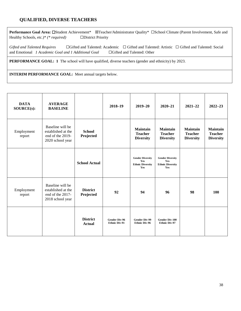#### **QUALIFIED, DIVERSE TEACHERS**

**Performance Goal Area:** ☐Student Achievement\* ☒Teacher/Administrator Quality\* ☐School Climate (Parent Involvement, Safe and Healthy Schools, etc.)\* *(\* required)* ☐District Priority

Gifted and Talented Requires □Gifted and Talented: Academic □Gifted and Talented: Artistic □Gifted and Talented: Social and Emotional *1 Academic Goal and 1 Additional Goal* ☐Gifted and Talented: Other

**PERFORMANCE GOAL: 1** The school will have qualified, diverse teachers (gender and ethnicity) by 2023.

| <b>DATA</b><br>SOURCE(s): | <b>AVERAGE</b><br><b>BASELINE</b>                                              |                                  | 2018-19                                      | $2019 - 20$                                                      | $2020 - 21$                                                      | $2021 - 22$                                           | $2022 - 23$                                           |
|---------------------------|--------------------------------------------------------------------------------|----------------------------------|----------------------------------------------|------------------------------------------------------------------|------------------------------------------------------------------|-------------------------------------------------------|-------------------------------------------------------|
| Employment<br>report      | Baseline will be<br>established at the<br>end of the 2019-<br>2020 school year | <b>School</b><br>Projected       |                                              | <b>Maintain</b><br><b>Teacher</b><br><b>Diversity</b>            | <b>Maintain</b><br><b>Teacher</b><br><b>Diversity</b>            | <b>Maintain</b><br><b>Teacher</b><br><b>Diversity</b> | <b>Maintain</b><br><b>Teacher</b><br><b>Diversity</b> |
|                           |                                                                                | <b>School Actual</b>             |                                              | <b>Gender Diversity</b><br>Yes<br><b>Ethnic Diversity</b><br>Yes | <b>Gender Diversity</b><br>Yes<br><b>Ethnic Diversity</b><br>Yes |                                                       |                                                       |
| Employment<br>report      | Baseline will be<br>established at the<br>end of the 2017-<br>2018 school year | <b>District</b><br>Projected     | 92                                           | 94                                                               | 96                                                               | 98                                                    | 100                                                   |
|                           |                                                                                | <b>District</b><br><b>Actual</b> | <b>Gender Div-96</b><br><b>Ethnic Div-91</b> | <b>Gender Div-99</b><br><b>Ethnic Div-96</b>                     | <b>Gender Div-100</b><br><b>Ethnic Div-97</b>                    |                                                       |                                                       |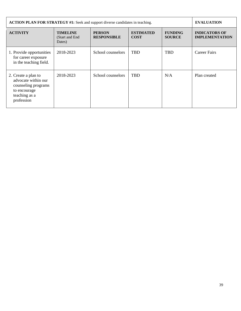| <b>ACTION PLAN FOR STRATEGY #1:</b> Seek and support diverse candidates in teaching.                             |                                              | <b>EVALUATION</b>                   |                                 |                                 |                                               |
|------------------------------------------------------------------------------------------------------------------|----------------------------------------------|-------------------------------------|---------------------------------|---------------------------------|-----------------------------------------------|
| <b>ACTIVITY</b>                                                                                                  | <b>TIMELINE</b><br>(Start and End)<br>Dates) | <b>PERSON</b><br><b>RESPONSIBLE</b> | <b>ESTIMATED</b><br><b>COST</b> | <b>FUNDING</b><br><b>SOURCE</b> | <b>INDICATORS OF</b><br><b>IMPLEMENTATION</b> |
| 1. Provide opportunities<br>for career exposure<br>in the teaching field.                                        | 2018-2023                                    | School counselors                   | <b>TBD</b>                      | <b>TBD</b>                      | Career Fairs                                  |
| 2. Create a plan to<br>advocate within our<br>counseling programs<br>to encourage<br>teaching as a<br>profession | 2018-2023                                    | School counselors                   | <b>TBD</b>                      | N/A                             | Plan created                                  |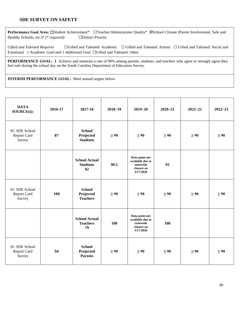#### **SDE SURVEY ON SAFETY**

Performance Goal Area: □Student Achievement\* □Teacher/Administrator Quality\* ⊠School Climate (Parent Involvement, Safe and Healthy Schools, etc.)\* *(\* required)* ☐District Priority

Gifted and Talented Requires □Gifted and Talented: Academic □Gifted and Talented: Artistic □Gifted and Talented: Social and Emotional *1 Academic Goal and 1 Additional Goal* ☐Gifted and Talented: Other

**PERFORMANCE GOAL:** 1 Achieve and maintain a rate of 90% among parents, students, and teachers who agree or strongly agree they feel safe during the school day on the South Carolina Department of Education Survey.

| <b>DATA</b><br>SOURCE(s):              | 2016-17 | 2017-18                                       | $2018 - 19$ | $2019 - 20$                                                                | $2020 - 21$ | $2021 - 22$ | $2022 - 23$ |
|----------------------------------------|---------|-----------------------------------------------|-------------|----------------------------------------------------------------------------|-------------|-------------|-------------|
| SC SDE School<br>Report Card<br>Survey | 87      | <b>School</b><br>Projected<br><b>Students</b> | $\geq 90$   | $\geq 90$                                                                  | $\geq 90$   | $\geq 90$   | $\geq 90$   |
|                                        |         | <b>School Actual</b><br><b>Students</b><br>82 | 90.5        | Data point not<br>available due to<br>statewide<br>closure on<br>3/17/2020 | 92          |             |             |
| SC SDE School<br>Report Card<br>Survey | 100     | <b>School</b><br>Projected<br><b>Teachers</b> | $\geq 90$   | $\geq 90$                                                                  | $\geq 90$   | $\geq 90$   | $\geq 90$   |
|                                        |         | <b>School Actual</b><br><b>Teachers</b><br>79 | 100         | Data point not<br>available due to<br>statewide<br>closure on<br>3/17/2020 | 100         |             |             |
| SC SDE School<br>Report Card<br>Survey | 94      | <b>School</b><br>Projected<br><b>Parents</b>  | $\geq 90$   | $\geq 90$                                                                  | $\geq 90$   | $\geq 90$   | $\geq 90$   |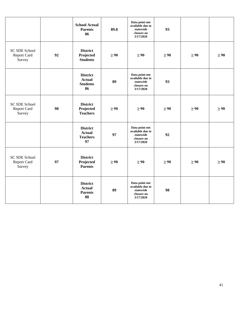|                                               |    | <b>School Actual</b><br><b>Parents</b><br>86              | 89.8      | Data point not<br>available due to<br>statewide<br>closure on<br>3/17/2020 | 93        |           |           |
|-----------------------------------------------|----|-----------------------------------------------------------|-----------|----------------------------------------------------------------------------|-----------|-----------|-----------|
| <b>SC SDE School</b><br>Report Card<br>Survey | 92 | <b>District</b><br>Projected<br><b>Students</b>           | $\geq 90$ | $\geq 90$                                                                  | $\geq 90$ | $\geq 90$ | $\geq 90$ |
|                                               |    | <b>District</b><br><b>Actual</b><br><b>Students</b><br>86 | 89        | Data point not<br>available due to<br>statewide<br>closure on<br>3/17/2020 | 93        |           |           |
| <b>SC SDE School</b><br>Report Card<br>Survey | 98 | <b>District</b><br>Projected<br><b>Teachers</b>           | $\geq 90$ | $\geq 90$                                                                  | $\geq 90$ | $\geq 90$ | $\geq 90$ |
|                                               |    | <b>District</b><br><b>Actual</b><br><b>Teachers</b><br>97 | 97        | Data point not<br>available due to<br>statewide<br>closure on<br>3/17/2020 | 92        |           |           |
| <b>SC SDE School</b><br>Report Card<br>Survey | 97 | <b>District</b><br>Projected<br><b>Parents</b>            | $\geq 90$ | $\geq 90$                                                                  | $\geq 90$ | $\geq 90$ | $\geq 90$ |
|                                               |    | <b>District</b><br><b>Actual</b><br><b>Parents</b><br>88  | 89        | Data point not<br>available due to<br>statewide<br>closure on<br>3/17/2020 | 98        |           |           |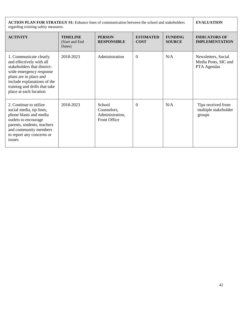| <b>ACTION PLAN FOR STRATEGY #1:</b> Enhance lines of communication between the school and stakeholders<br>regarding existing safety measures.                                                                                    |                                              | <b>EVALUATION</b>                                        |                                 |                                 |                                                            |
|----------------------------------------------------------------------------------------------------------------------------------------------------------------------------------------------------------------------------------|----------------------------------------------|----------------------------------------------------------|---------------------------------|---------------------------------|------------------------------------------------------------|
| <b>ACTIVITY</b>                                                                                                                                                                                                                  | <b>TIMELINE</b><br>(Start and End)<br>Dates) | <b>PERSON</b><br><b>RESPONSIBLE</b>                      | <b>ESTIMATED</b><br><b>COST</b> | <b>FUNDING</b><br><b>SOURCE</b> | <b>INDICATORS OF</b><br><b>IMPLEMENTATION</b>              |
| 1. Communicate clearly<br>and effectively with all<br>stakeholders that district-<br>wide emergency response<br>plans are in place and<br>include explanations of the<br>training and drills that take<br>place at each location | 2018-2023                                    | Administration                                           | $\overline{0}$                  | N/A                             | Newsletters, Social<br>Media Posts, SIC and<br>PTA Agendas |
| 2. Continue to utilize.<br>social media, tip lines,<br>phone blasts and media<br>outlets to encourage<br>parents, students, teachers<br>and community members<br>to report any concerns or<br>issues                             | 2018-2023                                    | School<br>Counselors,<br>Administration,<br>Front Office | $\Omega$                        | N/A                             | Tips received from<br>multiple stakeholder<br>groups       |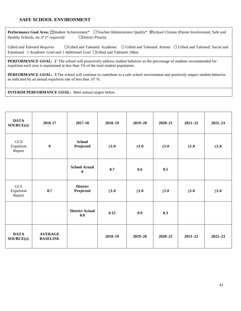#### **SAFE SCHOOL ENVIRONMENT**

Performance Goal Area: □Student Achievement\* □Teacher/Administrator Quality\* ⊠School Climate (Parent Involvement, Safe and Healthy Schools, etc.)\* *(\* required)* ☐District Priority

Gifted and Talented Requires □ Gifted and Talented: Academic □ Gifted and Talented: Artistic □ Gifted and Talented: Social and Emotional *1 Academic Goal and 1 Additional Goal* ☐Gifted and Talented: Other

**PERFORMANCE GOAL: 2** The school will proactively address student behavior so the percentage of students recommended for expulsion each year is maintained at less than 1% of the total student population.

**PERFORMANCE GOAL: 3** The school will continue to contribute to a safe school environment and positively impact student behavior as indicated by an annual expulsion rate of less than .07 %.

| <b>DATA</b><br>SOURCE(s):  | 2016-17                           | 2017-18                          | $2018 - 19$ | $2019 - 20$ | $2020 - 21$ | $2021 - 22$ | $2022 - 23$ |
|----------------------------|-----------------------------------|----------------------------------|-------------|-------------|-------------|-------------|-------------|
| GCS<br>Expulsion<br>Report | $\bf{0}$                          | <b>School</b><br>Projected       | $\leq1.0$   | $\leq1.0$   | $\leq1.0$   | $\leq1.0$   | $\leq1.0$   |
|                            |                                   | <b>School Actual</b><br>$\bf{0}$ | 0.7         | 0.6         | 0.5         |             |             |
| GCS<br>Expulsion<br>Report | 0.7                               | <b>District</b><br>Projected     | $\leq1.0$   | $\leq1.0$   | $\leq 1.0$  | $\leq 1.0$  | $\leq1.0$   |
|                            |                                   | <b>District Actual</b><br>0.8    | 0.15        | 0.9         | 0.3         |             |             |
| <b>DATA</b><br>SOURCE(s):  | <b>AVERAGE</b><br><b>BASELINE</b> |                                  | $2018 - 19$ | $2019 - 20$ | $2020 - 21$ | $2021 - 22$ | $2022 - 23$ |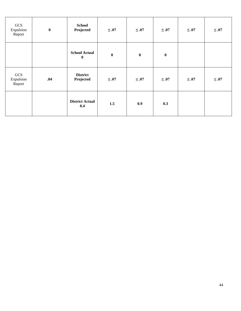| GCS<br>Expulsion<br>Report | $\boldsymbol{0}$ | <b>School</b><br>Projected       | $\leq .07$ | $\leq .07$ | $\leq .07$ | $\leq .07$ | $\leq .07$ |
|----------------------------|------------------|----------------------------------|------------|------------|------------|------------|------------|
|                            |                  | <b>School Actual</b><br>$\bf{0}$ | $\bf{0}$   | $\pmb{0}$  | $\bf{0}$   |            |            |
| GCS<br>Expulsion<br>Report | .04              | <b>District</b><br>Projected     | $\leq .07$ | $\leq .07$ | $\leq .07$ | $\leq .07$ | $\leq .07$ |
|                            |                  | <b>District Actual</b><br>0.4    | $1.5\,$    | 0.9        | 0.3        |            |            |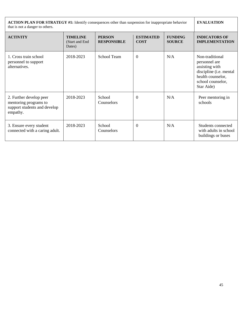| ACTION PLAN FOR STRATEGY #1: Identify consequences other than suspension for inappropriate behavior<br>that is not a danger to others. |                                              | <b>EVALUATION</b>                   |                                 |                                 |                                                                                                                                       |
|----------------------------------------------------------------------------------------------------------------------------------------|----------------------------------------------|-------------------------------------|---------------------------------|---------------------------------|---------------------------------------------------------------------------------------------------------------------------------------|
| <b>ACTIVITY</b>                                                                                                                        | <b>TIMELINE</b><br>(Start and End)<br>Dates) | <b>PERSON</b><br><b>RESPONSIBLE</b> | <b>ESTIMATED</b><br><b>COST</b> | <b>FUNDING</b><br><b>SOURCE</b> | <b>INDICATORS OF</b><br><b>IMPLEMENTATION</b>                                                                                         |
| 1. Cross train school<br>personnel to support<br>alternatives.                                                                         | 2018-2023                                    | School Team                         | $\overline{0}$                  | N/A                             | Non-traditional<br>personnel are<br>assisting with<br>discipline (i.e. mental<br>health counselor,<br>school counselor,<br>Star Aide) |
| 2. Further develop peer<br>mentoring programs to<br>support students and develop<br>empathy.                                           | 2018-2023                                    | School<br>Counselors                | $\theta$                        | N/A                             | Peer mentoring in<br>schools                                                                                                          |
| 3. Ensure every student<br>connected with a caring adult.                                                                              | 2018-2023                                    | School<br>Counselors                | $\theta$                        | N/A                             | Students connected<br>with adults in school<br>buildings or buses                                                                     |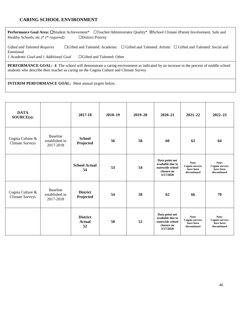#### **CARING SCHOOL ENVIRONMENT**

Performance Goal Area: □Student Achievement\* □Teacher/Administrator Quality\* ⊠School Climate (Parent Involvement, Safe and Healthy Schools, etc.)\* *(\* required)* ☐District Priority

Gifted and Talented Requires □Gifted and Talented: Academic □Gifted and Talented: Artistic □Gifted and Talented: Social and Emotional *1 Academic Goal and 1 Additional Goal* □ □Gifted and Talented: Other

**PERFORMANCE GOAL:** 4 The school will demonstrate a caring environment as indicated by an increase in the percent of middle school students who describe their teacher as caring on the Cognia Culture and Climate Survey.

| <b>DATA</b><br>SOURCE(s):                  |                                                | 2017-18                                | $2018 - 19$ | $2019 - 20$ | $2020 - 21$                                                                       | $2021 - 22$                                                 | $2022 - 23$                                          |
|--------------------------------------------|------------------------------------------------|----------------------------------------|-------------|-------------|-----------------------------------------------------------------------------------|-------------------------------------------------------------|------------------------------------------------------|
| Cognia Culture &<br><b>Climate Surveys</b> | <b>Baseline</b><br>established in<br>2017-2018 | <b>School</b><br>Projected             | 56          | 58          | 60                                                                                | 62                                                          | 64                                                   |
|                                            |                                                | <b>School Actual</b><br>54             | 53          | 54          | Data point not<br>available due to<br>statewide school<br>closure on<br>3/17/2020 | Note:<br><b>Cognia</b> surveys<br>have been<br>discontinued | Note:<br>Cognia surveys<br>have been<br>discontinued |
| Cognia Culture &<br><b>Climate Surveys</b> | <b>Baseline</b><br>established in<br>2017-2018 | <b>District</b><br>Projected           | 54          | 58          | 62                                                                                | 66                                                          | 70                                                   |
|                                            |                                                | <b>District</b><br><b>Actual</b><br>52 | 50          | 52          | Data point not<br>available due to<br>statewide school<br>closure on<br>3/17/2020 | Note:<br><b>Cognia</b> surveys<br>have been<br>discontinued | Note:<br>Cognia surveys<br>have been<br>discontinued |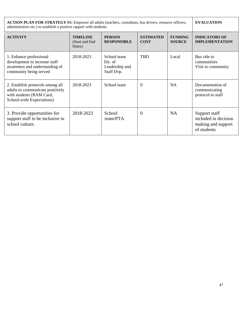| <b>ACTION PLAN FOR STRATEGY #1:</b> Empower all adults (teachers, custodians, bus drivers, resource officers,<br>administrators etc.) to establish a positive rapport with students. | <b>EVALUATION</b>                            |                                                        |                                 |                                 |                                                                            |
|--------------------------------------------------------------------------------------------------------------------------------------------------------------------------------------|----------------------------------------------|--------------------------------------------------------|---------------------------------|---------------------------------|----------------------------------------------------------------------------|
| <b>ACTIVITY</b>                                                                                                                                                                      | <b>TIMELINE</b><br>(Start and End)<br>Dates) | <b>PERSON</b><br><b>RESPONSIBLE</b>                    | <b>ESTIMATED</b><br><b>COST</b> | <b>FUNDING</b><br><b>SOURCE</b> | <b>INDICATORS OF</b><br><b>IMPLEMENTATION</b>                              |
| 1. Enhance professional<br>development to increase staff<br>awareness and understanding of<br>community being served                                                                 | 2018-2023                                    | School team<br>Dir. of<br>Leadership and<br>Staff Dvp. | <b>TBD</b>                      | Local                           | Bus ride to<br>communities<br>Visit to community                           |
| 2. Establish protocols among all<br>adults to communicate positively<br>with students (RAM Card,<br>School-wide Expectations)                                                        | 2018-2023                                    | School team                                            | $\theta$                        | <b>NA</b>                       | Documentation of<br>communicating<br>protocol to staff                     |
| 3. Provide opportunities for<br>support staff to be inclusive in<br>school culture.                                                                                                  | 2018-2023                                    | School<br>team/PTA                                     | $\overline{0}$                  | <b>NA</b>                       | Support staff<br>included in decision<br>making and support<br>of students |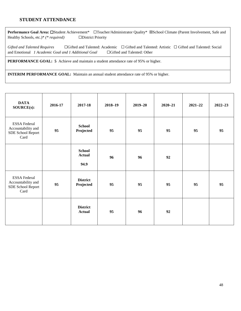#### **STUDENT ATTENDANCE**

Performance Goal Area: □Student Achievement\* □Teacher/Administrator Quality\* ⊠School Climate (Parent Involvement, Safe and Healthy Schools, etc.)\* *(\* required)* ☐District Priority

Gifted and Talented Requires □Gifted and Talented: Academic □Gifted and Talented: Artistic □Gifted and Talented: Social and Emotional *1 Academic Goal and 1 Additional Goal* ☐Gifted and Talented: Other

**PERFORMANCE GOAL: 5** Achieve and maintain a student attendance rate of 95% or higher.

**INTERIM PERFORMANCE GOAL:** Maintain an annual student attendance rate of 95% or higher.

| <b>DATA</b><br>SOURCE(s):                                              | 2016-17 | 2017-18                                | $2018 - 19$ | $2019 - 20$ | $2020 - 21$ | $2021 - 22$ | $2022 - 23$ |
|------------------------------------------------------------------------|---------|----------------------------------------|-------------|-------------|-------------|-------------|-------------|
| <b>ESSA Federal</b><br>Accountability and<br>SDE School Report<br>Card | 95      | <b>School</b><br>Projected             | 95          | 95          | 95          | 95          | 95          |
|                                                                        |         | <b>School</b><br><b>Actual</b><br>94.9 | 96          | 96          | 92          |             |             |
| <b>ESSA Federal</b><br>Accountability and<br>SDE School Report<br>Card | 95      | <b>District</b><br>Projected           | 95          | 95          | 95          | 95          | 95          |
|                                                                        |         | <b>District</b><br><b>Actual</b>       | 95          | 96          | 92          |             |             |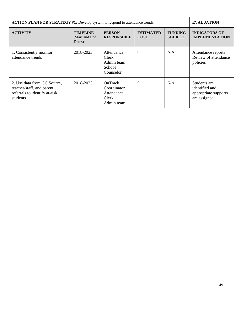| <b>ACTION PLAN FOR STRATEGY #1:</b> Develop system to respond to attendance trends.                   | <b>EVALUATION</b>                            |                                                                    |                                 |                                 |                                                                        |
|-------------------------------------------------------------------------------------------------------|----------------------------------------------|--------------------------------------------------------------------|---------------------------------|---------------------------------|------------------------------------------------------------------------|
| <b>ACTIVITY</b>                                                                                       | <b>TIMELINE</b><br>(Start and End)<br>Dates) | <b>PERSON</b><br><b>RESPONSIBLE</b>                                | <b>ESTIMATED</b><br><b>COST</b> | <b>FUNDING</b><br><b>SOURCE</b> | <b>INDICATORS OF</b><br><b>IMPLEMENTATION</b>                          |
| 1. Consistently monitor<br>attendance trends                                                          | 2018-2023                                    | Attendance<br><b>Clerk</b><br>Admin team<br>School<br>Counselor    | $\Omega$                        | N/A                             | Attendance reports<br>Review of attendance<br>policies                 |
| 2. Use data from GC Source,<br>teacher/staff, and parent<br>referrals to identify at-risk<br>students | 2018-2023                                    | OnTrack<br>Coordinator<br>Attendance<br><b>Clerk</b><br>Admin team | $\theta$                        | N/A                             | Students are<br>identified and<br>appropriate supports<br>are assigned |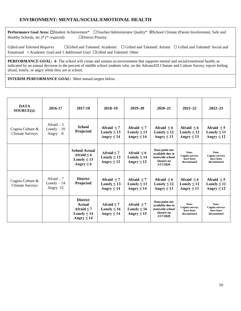#### **ENVIRONMENT: MENTAL/SOCIAL/EMOTIONAL HEALTH**

Performance Goal Area: □Student Achievement\* □Teacher/Administrator Quality\* ⊠School Climate (Parent Involvement, Safe and Healthy Schools, etc.)\* *(\* required)* ☐District Priority

Gifted and Talented Requires □Gifted and Talented: Academic □Gifted and Talented: Artistic □Gifted and Talented: Social and Emotional *1 Academic Goal and 1 Additional Goal* ☐Gifted and Talented: Other

**PERFORMANCE GOAL: 6** The school will create and sustain an environment that supports mental and social/emotional health, as indicated by an annual decrease in the percent of middle school students who, on the AdvancED Climate and Culture Survey, report feeling afraid, lonely, or angry while they are at school.

| <b>DATA</b><br>SOURCE(s):                  | 2016-17                                    | 2017-18                                                                             | $2018 - 19$                                            | $2019 - 20$                                            | $2020 - 21$                                                                       | $2021 - 22$                                                 | $2022 - 23$                                                 |
|--------------------------------------------|--------------------------------------------|-------------------------------------------------------------------------------------|--------------------------------------------------------|--------------------------------------------------------|-----------------------------------------------------------------------------------|-------------------------------------------------------------|-------------------------------------------------------------|
| Cognia Culture &<br><b>Climate Surveys</b> | Afraid $-5$<br>$Lonely - 10$<br>Angry $-8$ | <b>School</b><br>Projected                                                          | Afraid $\leq 7$<br>Lonely $\leq 13$<br>Angry $\leq 14$ | Afraid $\leq$ 7<br>Lonely $\leq 13$<br>Angry $\leq 14$ | Afraid $\leq 6$<br>Lonely $\leq 12$<br>Angry $\leq 13$                            | Afraid $\leq 6$<br>Lonely $\leq 12$<br>Angry $\leq 13$      | Afraid $\leq$ 5<br>Lonely $\leq 11$<br>Angry $\leq 12$      |
|                                            |                                            | <b>School Actual</b><br>Afraid $\leq 6$<br>Lonely $\leq 13$<br>Angry $\leq 6$       | Afraid $< 7$<br>Lonely $\leq 13$<br>Angry $\leq 12$    | Afraid $\leq 6$<br>Lonely $\leq 14$<br>Angry $\leq 12$ | Data point not<br>available due to<br>statewide school<br>closure on<br>3/17/2020 | Note:<br><b>Cognia</b> surveys<br>have been<br>discontinued | Note:<br>Cognia surveys<br>have been<br>discontinued        |
| Cognia Culture &<br><b>Climate Surveys</b> | Afraid $-7$<br>$Lonely - 14$<br>Angry 15   | <b>District</b><br>Projected                                                        | Afraid $\leq 7$<br>Lonely $\leq 13$<br>Angry $\leq 14$ | Afraid $\leq 7$<br>Lonely $\leq 13$<br>Angry $\leq 14$ | Afraid $\leq 6$<br>Lonely $\leq 12$<br>Angry $\leq 13$                            | Afraid $\leq 6$<br>Lonely $\leq 12$<br>Angry $\leq 13$      | Afraid $\leq$ 5<br>Lonely $\leq 11$<br>Angry $\leq 12$      |
|                                            |                                            | <b>District</b><br>Actual<br>Afraid $\leq 7$<br>Lonely $\leq 14$<br>Angry $\leq 14$ | Afraid $\leq 7$<br>Lonely $\leq 16$<br>Angry $\leq 14$ | Afraid $\leq 7$<br>Lonely $\leq 16$<br>Angry $\leq 15$ | Data point not<br>available due to<br>statewide school<br>closure on<br>3/17/2020 | Note:<br>Cognia surveys<br>have been<br>discontinued        | Note:<br><b>Cognia</b> surveys<br>have been<br>discontinued |